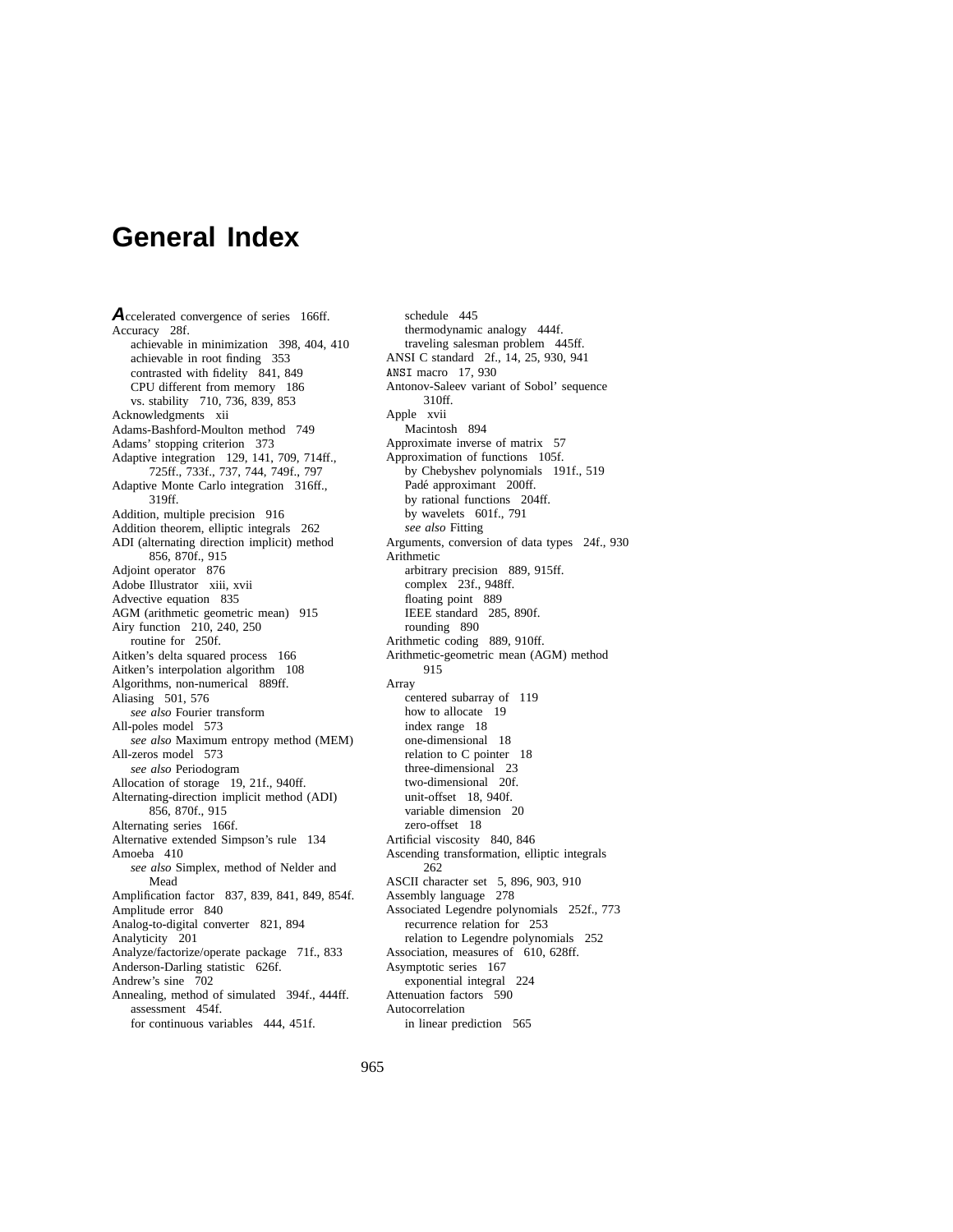# **General Index**

Accelerated convergence of series 166ff. Accuracy 28f. achievable in minimization 398, 404, 410 achievable in root finding 353 contrasted with fidelity 841, 849 CPU different from memory 186 vs. stability 710, 736, 839, 853 Acknowledgments xii Adams-Bashford-Moulton method 749 Adams' stopping criterion 373 Adaptive integration 129, 141, 709, 714ff., 725ff., 733f., 737, 744, 749f., 797 Adaptive Monte Carlo integration 316ff., 319ff. Addition, multiple precision 916 Addition theorem, elliptic integrals 262 ADI (alternating direction implicit) method 856, 870f., 915 Adjoint operator 876 Adobe Illustrator xiii, xvii Advective equation 835 AGM (arithmetic geometric mean) 915 Airy function 210, 240, 250 routine for 250f. Aitken's delta squared process 166 Aitken's interpolation algorithm 108 Algorithms, non-numerical 889ff. Aliasing 501, 576 *see also* Fourier transform All-poles model 573 *see also* Maximum entropy method (MEM) All-zeros model 573 *see also* Periodogram Allocation of storage 19, 21f., 940ff. Alternating-direction implicit method (ADI) 856, 870f., 915 Alternating series 166f. Alternative extended Simpson's rule 134 Amoeba 410 *see also* Simplex, method of Nelder and Mead Amplification factor 837, 839, 841, 849, 854f. Amplitude error 840 Analog-to-digital converter 821, 894 Analyticity 201 Analyze/factorize/operate package 71f., 833 Anderson-Darling statistic 626f. Andrew's sine 702 Annealing, method of simulated 394f., 444ff. assessment 454f. for continuous variables 444, 451f.

schedule 445 thermodynamic analogy 444f. traveling salesman problem 445ff. ANSI C standard 2f., 14, 25, 930, 941 ANSI macro 17, 930 Antonov-Saleev variant of Sobol' sequence 310ff. Apple xvii Macintosh 894 Approximate inverse of matrix 57 Approximation of functions 105f. by Chebyshev polynomials 191f., 519 Padé approximant 200ff. by rational functions 204ff. by wavelets 601f., 791 *see also* Fitting Arguments, conversion of data types 24f., 930 Arithmetic arbitrary precision 889, 915ff. complex 23f., 948ff. floating point 889 IEEE standard 285, 890f. rounding 890 Arithmetic coding 889, 910ff. Arithmetic-geometric mean (AGM) method 915 Array centered subarray of 119 how to allocate 19 index range 18 one-dimensional 18 relation to C pointer 18 three-dimensional 23 two-dimensional 20f. unit-offset 18, 940f. variable dimension 20 zero-offset 18 Artificial viscosity 840, 846 Ascending transformation, elliptic integrals 262 ASCII character set 5, 896, 903, 910 Assembly language 278 Associated Legendre polynomials 252f., 773 recurrence relation for 253 relation to Legendre polynomials 252 Association, measures of 610, 628ff. Asymptotic series 167 exponential integral 224 Attenuation factors 590 Autocorrelation in linear prediction 565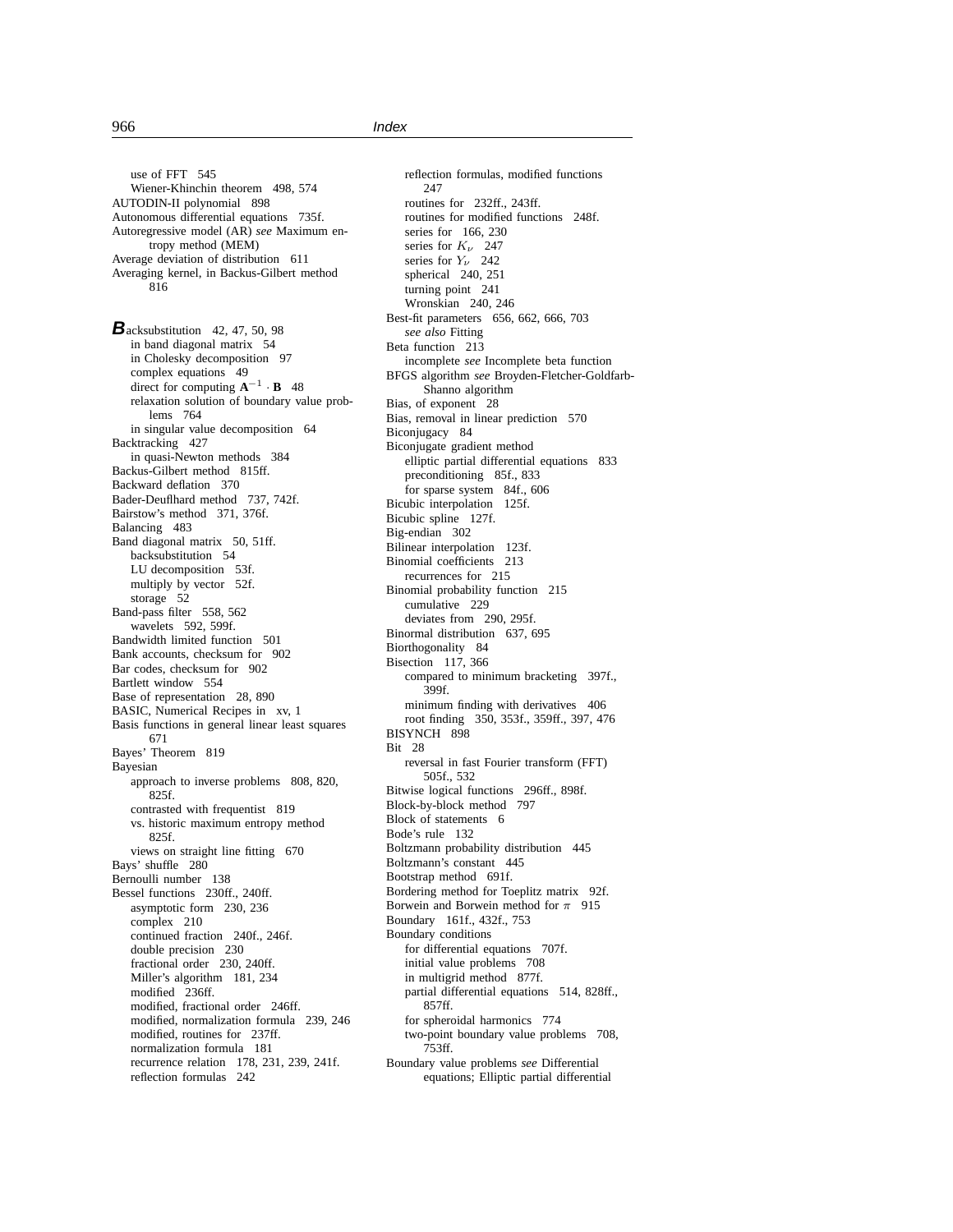use of FFT 545 Wiener-Khinchin theorem 498, 574 AUTODIN-II polynomial 898 Autonomous differential equations 735f. Autoregressive model (AR) *see* Maximum entropy method (MEM) Average deviation of distribution 611 Averaging kernel, in Backus-Gilbert method 816

**B**acksubstitution 42, 47, 50, 98 in band diagonal matrix 54 in Cholesky decomposition 97 complex equations 49 direct for computing  $A^{-1} \cdot B$  48 relaxation solution of boundary value problems 764 in singular value decomposition 64 Backtracking 427 in quasi-Newton methods 384 Backus-Gilbert method 815ff. Backward deflation 370 Bader-Deuflhard method 737, 742f. Bairstow's method 371, 376f. Balancing 483 Band diagonal matrix 50, 51ff. backsubstitution 54 LU decomposition 53f. multiply by vector 52f. storage 52 Band-pass filter 558, 562 wavelets 592, 599f. Bandwidth limited function 501 Bank accounts, checksum for 902 Bar codes, checksum for 902 Bartlett window 554 Base of representation 28, 890 BASIC, Numerical Recipes in xv, 1 Basis functions in general linear least squares 671 Bayes' Theorem 819 Bayesian approach to inverse problems 808, 820, 825f. contrasted with frequentist 819 vs. historic maximum entropy method 825f. views on straight line fitting 670 Bays' shuffle 280 Bernoulli number 138 Bessel functions 230ff., 240ff. asymptotic form 230, 236 complex 210 continued fraction 240f., 246f. double precision 230 fractional order 230, 240ff. Miller's algorithm 181, 234 modified 236ff. modified, fractional order 246ff. modified, normalization formula 239, 246 modified, routines for 237ff. normalization formula 181 recurrence relation 178, 231, 239, 241f. reflection formulas 242

reflection formulas, modified functions 247 routines for 232ff., 243ff. routines for modified functions 248f. series for 166, 230 series for  $K_{\nu}$  247 series for  $Y_{\nu}$  242 spherical 240, 251 turning point 241 Wronskian 240, 246 Best-fit parameters 656, 662, 666, 703 *see also* Fitting Beta function 213 incomplete *see* Incomplete beta function BFGS algorithm *see* Broyden-Fletcher-Goldfarb-Shanno algorithm Bias, of exponent 28 Bias, removal in linear prediction 570 Biconjugacy 84 Biconjugate gradient method elliptic partial differential equations 833 preconditioning 85f., 833 for sparse system 84f., 606 Bicubic interpolation 125f. Bicubic spline 127f. Big-endian 302 Bilinear interpolation 123f. Binomial coefficients 213 recurrences for 215 Binomial probability function 215 cumulative 229 deviates from 290, 295f. Binormal distribution 637, 695 Biorthogonality 84 Bisection 117, 366 compared to minimum bracketing 397f., 399f. minimum finding with derivatives 406 root finding 350, 353f., 359ff., 397, 476 BISYNCH 898 Bit 28 reversal in fast Fourier transform (FFT) 505f., 532 Bitwise logical functions 296ff., 898f. Block-by-block method 797 Block of statements 6 Bode's rule 132 Boltzmann probability distribution 445 Boltzmann's constant 445 Bootstrap method 691f. Bordering method for Toeplitz matrix 92f. Borwein and Borwein method for  $\pi$  915 Boundary 161f., 432f., 753 Boundary conditions for differential equations 707f. initial value problems 708 in multigrid method 877f. partial differential equations 514, 828ff., 857ff. for spheroidal harmonics 774 two-point boundary value problems 708, 753ff. Boundary value problems *see* Differential equations; Elliptic partial differential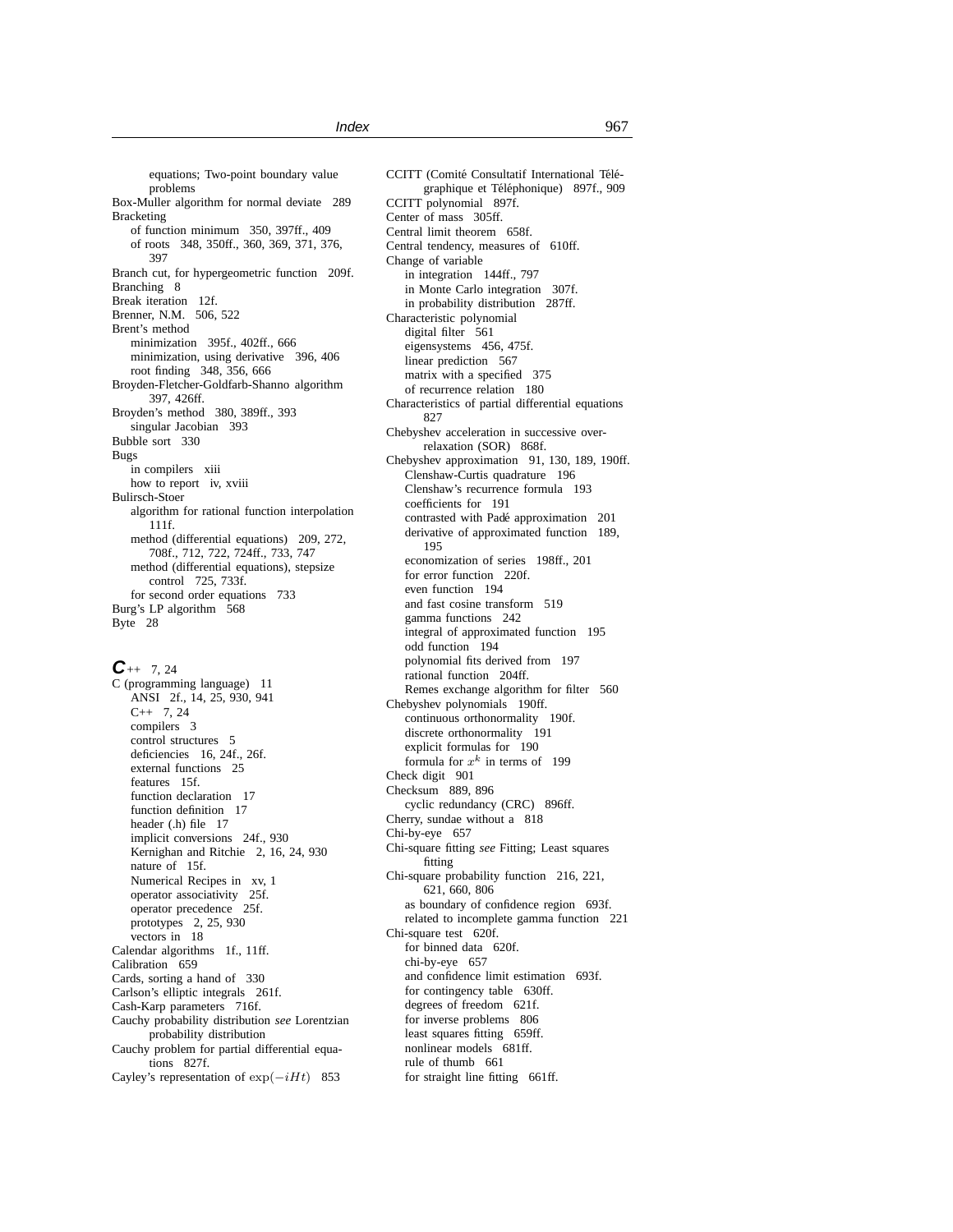equations; Two-point boundary value problems Box-Muller algorithm for normal deviate 289 Bracketing of function minimum 350, 397ff., 409 of roots 348, 350ff., 360, 369, 371, 376, 397 Branch cut, for hypergeometric function 209f. Branching 8 Break iteration 12f. Brenner, N.M. 506, 522 Brent's method minimization 395f., 402ff., 666 minimization, using derivative 396, 406 root finding 348, 356, 666 Broyden-Fletcher-Goldfarb-Shanno algorithm 397, 426ff. Broyden's method 380, 389ff., 393 singular Jacobian 393 Bubble sort 330 Bugs in compilers xiii how to report iv, xviii Bulirsch-Stoer algorithm for rational function interpolation 111f. method (differential equations) 209, 272, 708f., 712, 722, 724ff., 733, 747 method (differential equations), stepsize control 725, 733f. for second order equations 733 Burg's LP algorithm 568 Byte 28

 $C_{++}$  7, 24 C (programming language) 11 ANSI 2f., 14, 25, 930, 941  $C++ 7, 24$ compilers 3 control structures 5 deficiencies 16, 24f., 26f. external functions 25 features 15f. function declaration 17 function definition 17 header (.h) file 17 implicit conversions 24f., 930 Kernighan and Ritchie 2, 16, 24, 930 nature of 15f. Numerical Recipes in xv, 1 operator associativity 25f. operator precedence 25f. prototypes 2, 25, 930 vectors in 18 Calendar algorithms 1f., 11ff. Calibration 659 Cards, sorting a hand of 330 Carlson's elliptic integrals 261f. Cash-Karp parameters 716f. Cauchy probability distribution *see* Lorentzian probability distribution Cauchy problem for partial differential equations 827f. Cayley's representation of  $\exp(-iHt)$  853

CCITT (Comité Consultatif International Télégraphique et Téléphonique) 897f., 909 CCITT polynomial 897f. Center of mass 305ff. Central limit theorem 658f. Central tendency, measures of 610ff. Change of variable in integration 144ff., 797 in Monte Carlo integration 307f. in probability distribution 287ff. Characteristic polynomial digital filter 561 eigensystems 456, 475f. linear prediction 567 matrix with a specified 375 of recurrence relation 180 Characteristics of partial differential equations 827 Chebyshev acceleration in successive overrelaxation (SOR) 868f. Chebyshev approximation 91, 130, 189, 190ff. Clenshaw-Curtis quadrature 196 Clenshaw's recurrence formula 193 coefficients for 191 contrasted with Pade approximation 201 ´ derivative of approximated function 189, 195 economization of series 198ff., 201 for error function 220f. even function 194 and fast cosine transform 519 gamma functions 242 integral of approximated function 195 odd function 194 polynomial fits derived from 197 rational function 204ff. Remes exchange algorithm for filter 560 Chebyshev polynomials 190ff. continuous orthonormality 190f. discrete orthonormality 191 explicit formulas for 190 formula for  $x^k$  in terms of 199 Check digit 901 Checksum 889, 896 cyclic redundancy (CRC) 896ff. Cherry, sundae without a 818 Chi-by-eye 657 Chi-square fitting *see* Fitting; Least squares fitting Chi-square probability function 216, 221, 621, 660, 806 as boundary of confidence region 693f. related to incomplete gamma function 221 Chi-square test 620f. for binned data 620f. chi-by-eye 657 and confidence limit estimation 693f. for contingency table 630ff. degrees of freedom 621f. for inverse problems 806 least squares fitting 659ff. nonlinear models 681ff. rule of thumb 661 for straight line fitting 661ff.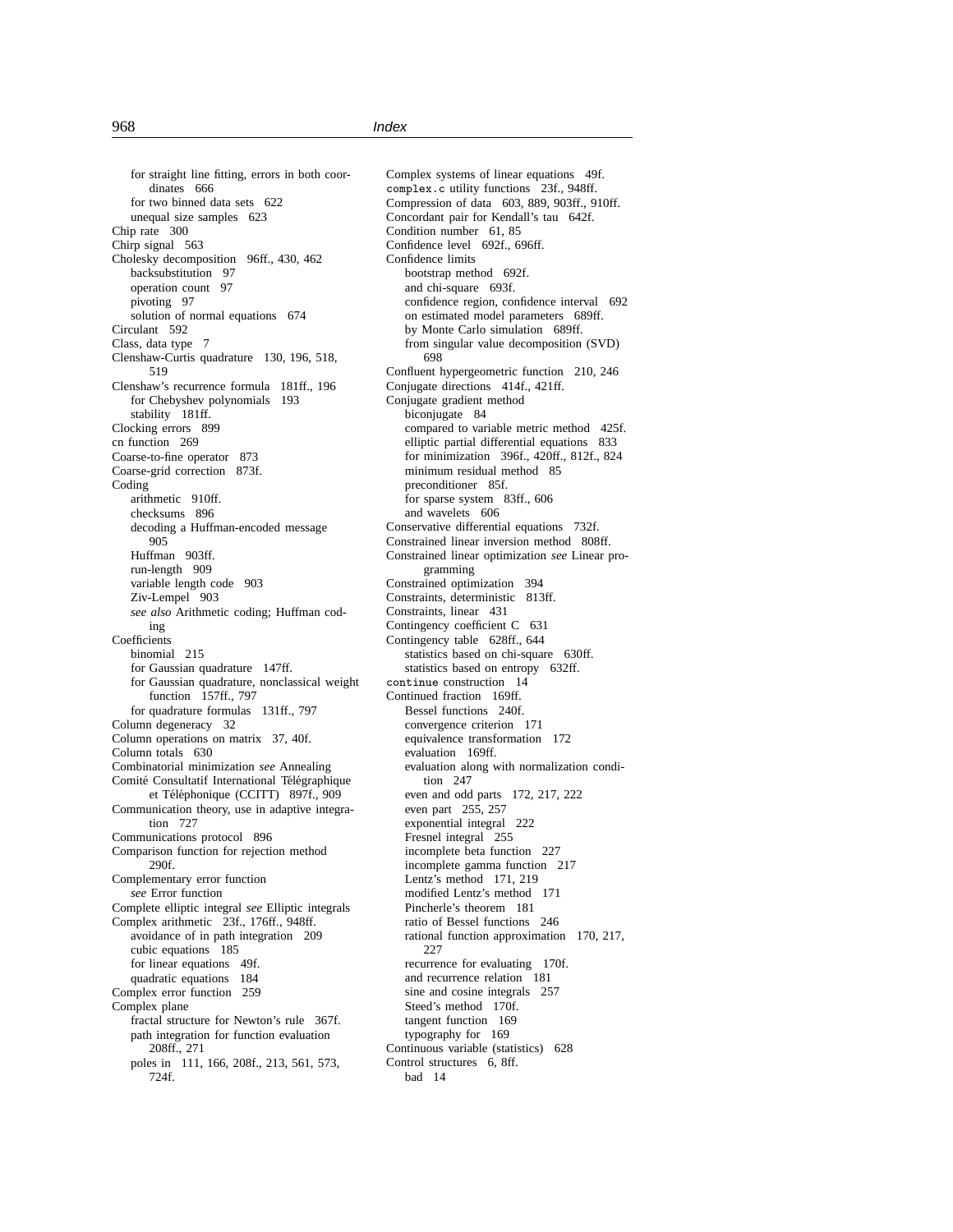for straight line fitting, errors in both coordinates 666 for two binned data sets 622 unequal size samples 623 Chip rate 300 Chirp signal 563 Cholesky decomposition 96ff., 430, 462 backsubstitution 97 operation count 97 pivoting 97 solution of normal equations 674 Circulant 592 Class, data type 7 Clenshaw-Curtis quadrature 130, 196, 518, 519 Clenshaw's recurrence formula 181ff., 196 for Chebyshev polynomials 193 stability 181ff. Clocking errors 899 cn function 269 Coarse-to-fine operator 873 Coarse-grid correction 873f. Coding arithmetic 910ff. checksums 896 decoding a Huffman-encoded message 905 Huffman 903ff. run-length 909 variable length code 903 Ziv-Lempel 903 *see also* Arithmetic coding; Huffman coding **Coefficients** binomial 215 for Gaussian quadrature 147ff. for Gaussian quadrature, nonclassical weight function 157ff., 797 for quadrature formulas 131ff., 797 Column degeneracy 32 Column operations on matrix 37, 40f. Column totals 630 Combinatorial minimization *see* Annealing Comité Consultatif International Télégraphique et Téléphonique (CCITT) 897f., 909 Communication theory, use in adaptive integration 727 Communications protocol 896 Comparison function for rejection method 290f. Complementary error function *see* Error function Complete elliptic integral *see* Elliptic integrals Complex arithmetic 23f., 176ff., 948ff. avoidance of in path integration 209 cubic equations 185 for linear equations 49f. quadratic equations 184 Complex error function 259 Complex plane fractal structure for Newton's rule 367f. path integration for function evaluation 208ff., 271 poles in 111, 166, 208f., 213, 561, 573, 724f.

Complex systems of linear equations 49f. complex.c utility functions 23f., 948ff. Compression of data 603, 889, 903ff., 910ff. Concordant pair for Kendall's tau 642f. Condition number 61, 85 Confidence level 692f., 696ff. Confidence limits bootstrap method 692f. and chi-square 693f. confidence region, confidence interval 692 on estimated model parameters 689ff. by Monte Carlo simulation 689ff. from singular value decomposition (SVD) 698 Confluent hypergeometric function 210, 246 Conjugate directions 414f., 421ff. Conjugate gradient method biconjugate 84 compared to variable metric method 425f. elliptic partial differential equations 833 for minimization 396f., 420ff., 812f., 824 minimum residual method 85 preconditioner 85f. for sparse system 83ff., 606 and wavelets 606 Conservative differential equations 732f. Constrained linear inversion method 808ff. Constrained linear optimization *see* Linear programming Constrained optimization 394 Constraints, deterministic 813ff. Constraints, linear 431 Contingency coefficient C 631 Contingency table 628ff., 644 statistics based on chi-square 630ff. statistics based on entropy 632ff. continue construction 14 Continued fraction 169ff. Bessel functions 240f. convergence criterion 171 equivalence transformation 172 evaluation 169ff. evaluation along with normalization condition 247 even and odd parts 172, 217, 222 even part 255, 257 exponential integral 222 Fresnel integral 255 incomplete beta function 227 incomplete gamma function 217 Lentz's method 171, 219 modified Lentz's method 171 Pincherle's theorem 181 ratio of Bessel functions 246 rational function approximation 170, 217, 227 recurrence for evaluating 170f. and recurrence relation 181 sine and cosine integrals 257 Steed's method 170f. tangent function 169 typography for 169 Continuous variable (statistics) 628 Control structures 6, 8ff. bad 14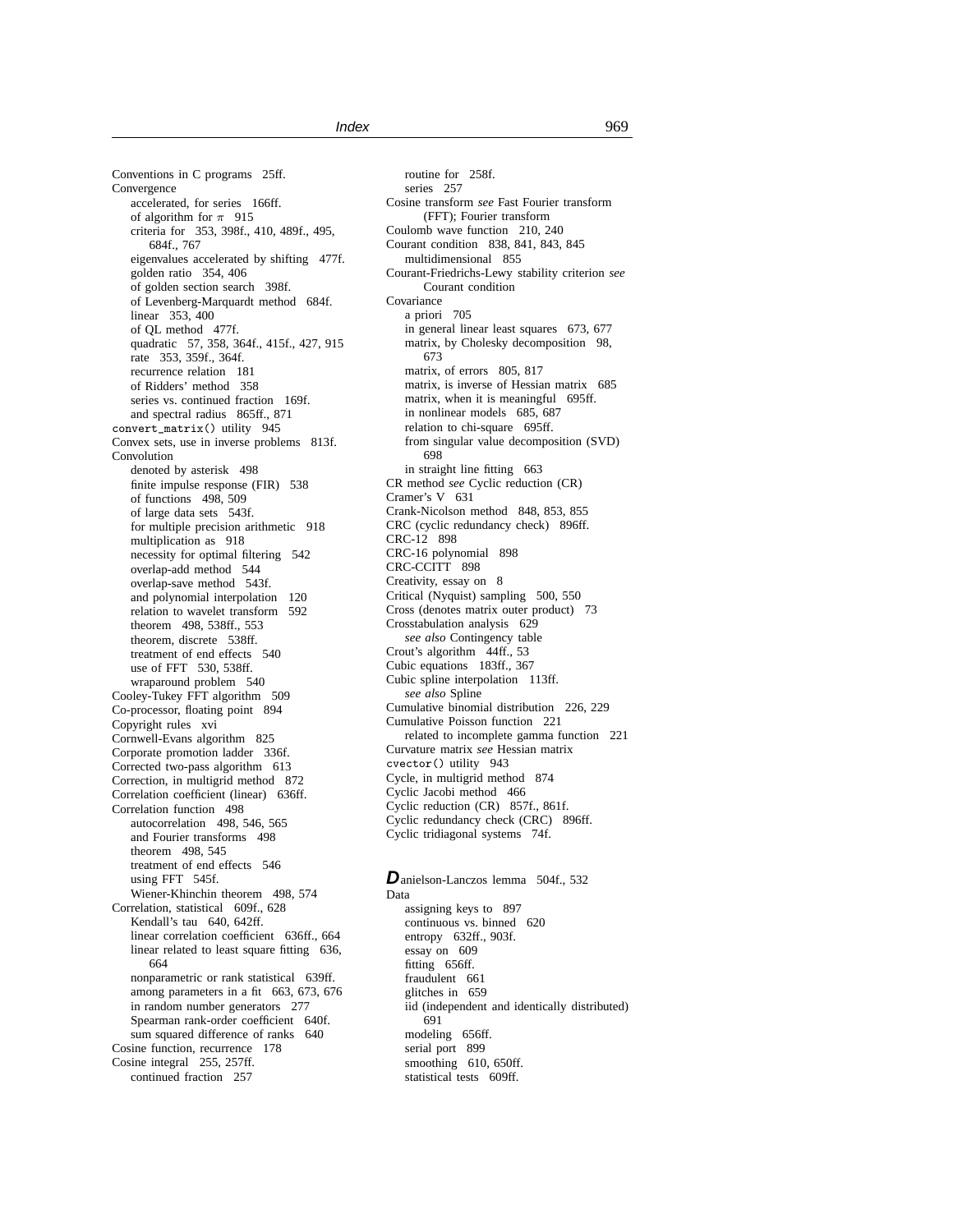Conventions in C programs 25ff. **Convergence** accelerated, for series 166ff. of algorithm for  $\pi$  915 criteria for 353, 398f., 410, 489f., 495, 684f 767 eigenvalues accelerated by shifting 477f. golden ratio 354, 406 of golden section search 398f. of Levenberg-Marquardt method 684f. linear 353, 400 of QL method 477f. quadratic 57, 358, 364f., 415f., 427, 915 rate 353, 359f., 364f. recurrence relation 181 of Ridders' method 358 series vs. continued fraction 169f. and spectral radius 865ff., 871 convert\_matrix() utility 945 Convex sets, use in inverse problems 813f. Convolution denoted by asterisk 498 finite impulse response (FIR) 538 of functions 498, 509 of large data sets 543f. for multiple precision arithmetic 918 multiplication as 918 necessity for optimal filtering 542 overlap-add method 544 overlap-save method 543f. and polynomial interpolation 120 relation to wavelet transform 592 theorem 498, 538ff., 553 theorem, discrete 538ff. treatment of end effects 540 use of FFT 530, 538ff. wraparound problem 540 Cooley-Tukey FFT algorithm 509 Co-processor, floating point 894 Copyright rules xvi Cornwell-Evans algorithm 825 Corporate promotion ladder 336f. Corrected two-pass algorithm 613 Correction, in multigrid method 872 Correlation coefficient (linear) 636ff. Correlation function 498 autocorrelation 498, 546, 565 and Fourier transforms 498 theorem 498, 545 treatment of end effects 546 using FFT 545f. Wiener-Khinchin theorem 498, 574 Correlation, statistical 609f., 628 Kendall's tau 640, 642ff. linear correlation coefficient 636ff., 664 linear related to least square fitting 636, 664 nonparametric or rank statistical 639ff. among parameters in a fit 663, 673, 676 in random number generators 277 Spearman rank-order coefficient 640f. sum squared difference of ranks 640 Cosine function, recurrence 178 Cosine integral 255, 257ff. continued fraction 257

routine for 258f. series 257 Cosine transform *see* Fast Fourier transform (FFT); Fourier transform Coulomb wave function 210, 240 Courant condition 838, 841, 843, 845 multidimensional 855 Courant-Friedrichs-Lewy stability criterion *see* Courant condition Covariance a priori 705 in general linear least squares 673, 677 matrix, by Cholesky decomposition 98, 673 matrix, of errors 805, 817 matrix, is inverse of Hessian matrix 685 matrix, when it is meaningful 695ff. in nonlinear models 685, 687 relation to chi-square 695ff. from singular value decomposition (SVD) 698 in straight line fitting 663 CR method *see* Cyclic reduction (CR) Cramer's V 631 Crank-Nicolson method 848, 853, 855 CRC (cyclic redundancy check) 896ff. CRC-12 898 CRC-16 polynomial 898 CRC-CCITT 898 Creativity, essay on 8 Critical (Nyquist) sampling 500, 550 Cross (denotes matrix outer product) 73 Crosstabulation analysis 629 *see also* Contingency table Crout's algorithm 44ff., 53 Cubic equations 183ff., 367 Cubic spline interpolation 113ff. *see also* Spline Cumulative binomial distribution 226, 229 Cumulative Poisson function 221 related to incomplete gamma function 221 Curvature matrix *see* Hessian matrix cvector() utility 943 Cycle, in multigrid method 874 Cyclic Jacobi method 466 Cyclic reduction (CR) 857f., 861f. Cyclic redundancy check (CRC) 896ff. Cyclic tridiagonal systems 74f.

Danielson-Lanczos lemma 504f., 532 Data assigning keys to 897 continuous vs. binned 620 entropy 632ff., 903f. essay on 609 fitting 656ff. fraudulent 661 glitches in 659 iid (independent and identically distributed) 691 modeling 656ff. serial port 899 smoothing 610, 650ff. statistical tests 609ff.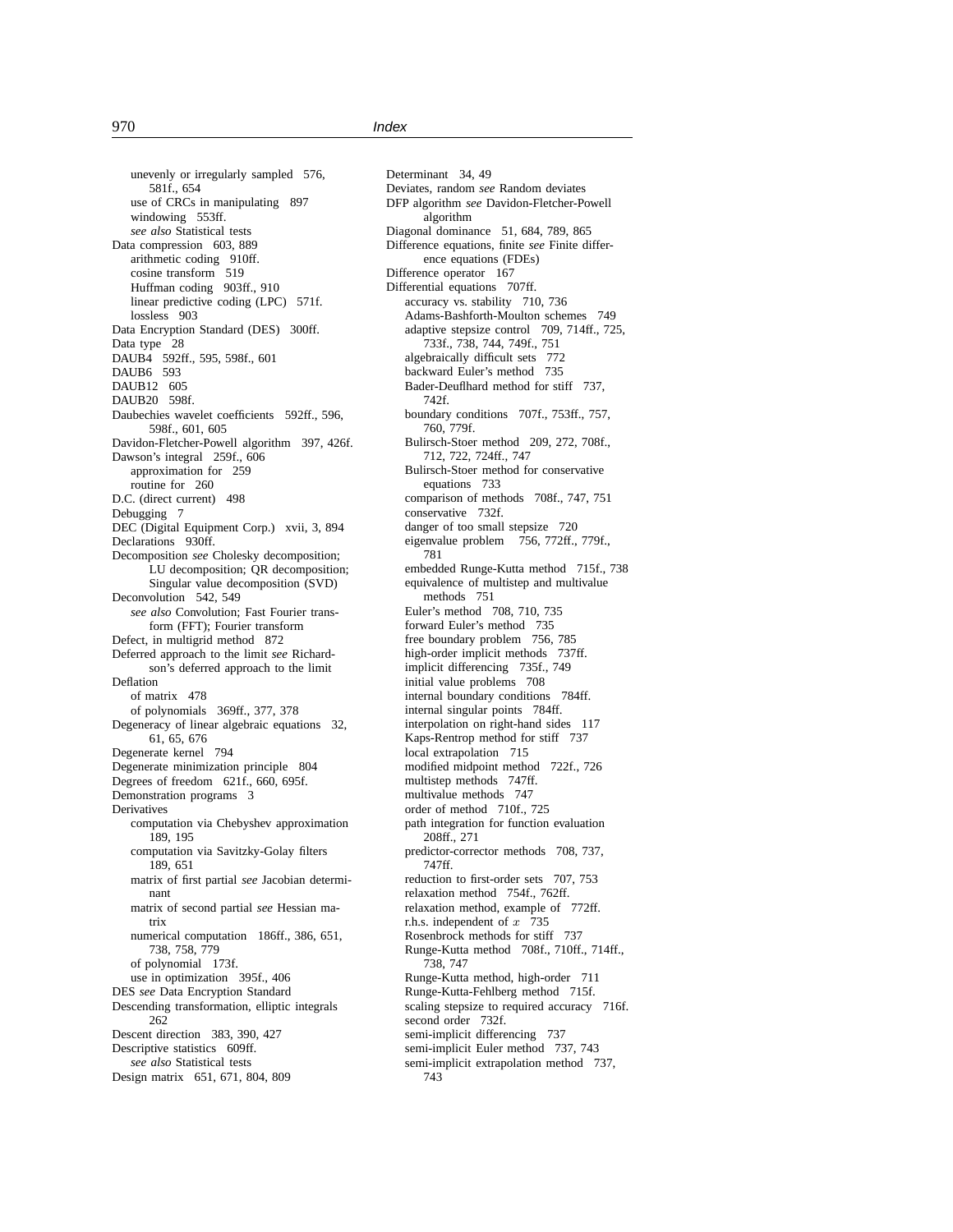unevenly or irregularly sampled 576, 581f., 654 use of CRCs in manipulating 897 windowing 553ff. *see also* Statistical tests Data compression 603, 889 arithmetic coding 910ff. cosine transform 519 Huffman coding 903ff., 910 linear predictive coding (LPC) 571f. lossless 903 Data Encryption Standard (DES) 300ff. Data type 28 DAUB4 592ff., 595, 598f., 601 DAUB6 593 DAUB12 605 DAUB20 598f. Daubechies wavelet coefficients 592ff., 596, 598f., 601, 605 Davidon-Fletcher-Powell algorithm 397, 426f. Dawson's integral 259f., 606 approximation for 259 routine for 260 D.C. (direct current) 498 Debugging 7 DEC (Digital Equipment Corp.) xvii, 3, 894 Declarations 930ff. Decomposition *see* Cholesky decomposition; LU decomposition; QR decomposition; Singular value decomposition (SVD) Deconvolution 542, 549 *see also* Convolution; Fast Fourier transform (FFT); Fourier transform Defect, in multigrid method 872 Deferred approach to the limit *see* Richardson's deferred approach to the limit Deflation of matrix 478 of polynomials 369ff., 377, 378 Degeneracy of linear algebraic equations 32, 61, 65, 676 Degenerate kernel 794 Degenerate minimization principle 804 Degrees of freedom 621f., 660, 695f. Demonstration programs 3 **Derivatives** computation via Chebyshev approximation 189, 195 computation via Savitzky-Golay filters 189, 651 matrix of first partial *see* Jacobian determinant matrix of second partial *see* Hessian matrix numerical computation 186ff., 386, 651, 738, 758, 779 of polynomial 173f. use in optimization 395f., 406 DES *see* Data Encryption Standard Descending transformation, elliptic integrals 262 Descent direction 383, 390, 427 Descriptive statistics 609ff. *see also* Statistical tests Design matrix 651, 671, 804, 809

Determinant 34, 49 Deviates, random *see* Random deviates DFP algorithm *see* Davidon-Fletcher-Powell algorithm Diagonal dominance 51, 684, 789, 865 Difference equations, finite *see* Finite difference equations (FDEs) Difference operator 167 Differential equations 707ff. accuracy vs. stability 710, 736 Adams-Bashforth-Moulton schemes 749 adaptive stepsize control 709, 714ff., 725, 733f., 738, 744, 749f., 751 algebraically difficult sets 772 backward Euler's method 735 Bader-Deuflhard method for stiff 737, 742f. boundary conditions 707f., 753ff., 757, 760, 779f. Bulirsch-Stoer method 209, 272, 708f., 712, 722, 724ff., 747 Bulirsch-Stoer method for conservative equations 733 comparison of methods 708f., 747, 751 conservative 732f. danger of too small stepsize 720 eigenvalue problem 756, 772ff., 779f., 781 embedded Runge-Kutta method 715f., 738 equivalence of multistep and multivalue methods 751 Euler's method 708, 710, 735 forward Euler's method 735 free boundary problem 756, 785 high-order implicit methods 737ff. implicit differencing 735f., 749 initial value problems 708 internal boundary conditions 784ff. internal singular points 784ff. interpolation on right-hand sides 117 Kaps-Rentrop method for stiff 737 local extrapolation 715 modified midpoint method 722f., 726 multistep methods 747ff. multivalue methods 747 order of method 710f., 725 path integration for function evaluation 208ff., 271 predictor-corrector methods 708, 737, 747ff. reduction to first-order sets 707, 753 relaxation method 754f., 762ff. relaxation method, example of 772ff. r.h.s. independent of  $x$  735 Rosenbrock methods for stiff 737 Runge-Kutta method 708f., 710ff., 714ff., 738, 747 Runge-Kutta method, high-order 711 Runge-Kutta-Fehlberg method 715f. scaling stepsize to required accuracy 716f. second order 732f. semi-implicit differencing 737 semi-implicit Euler method 737, 743 semi-implicit extrapolation method 737, 743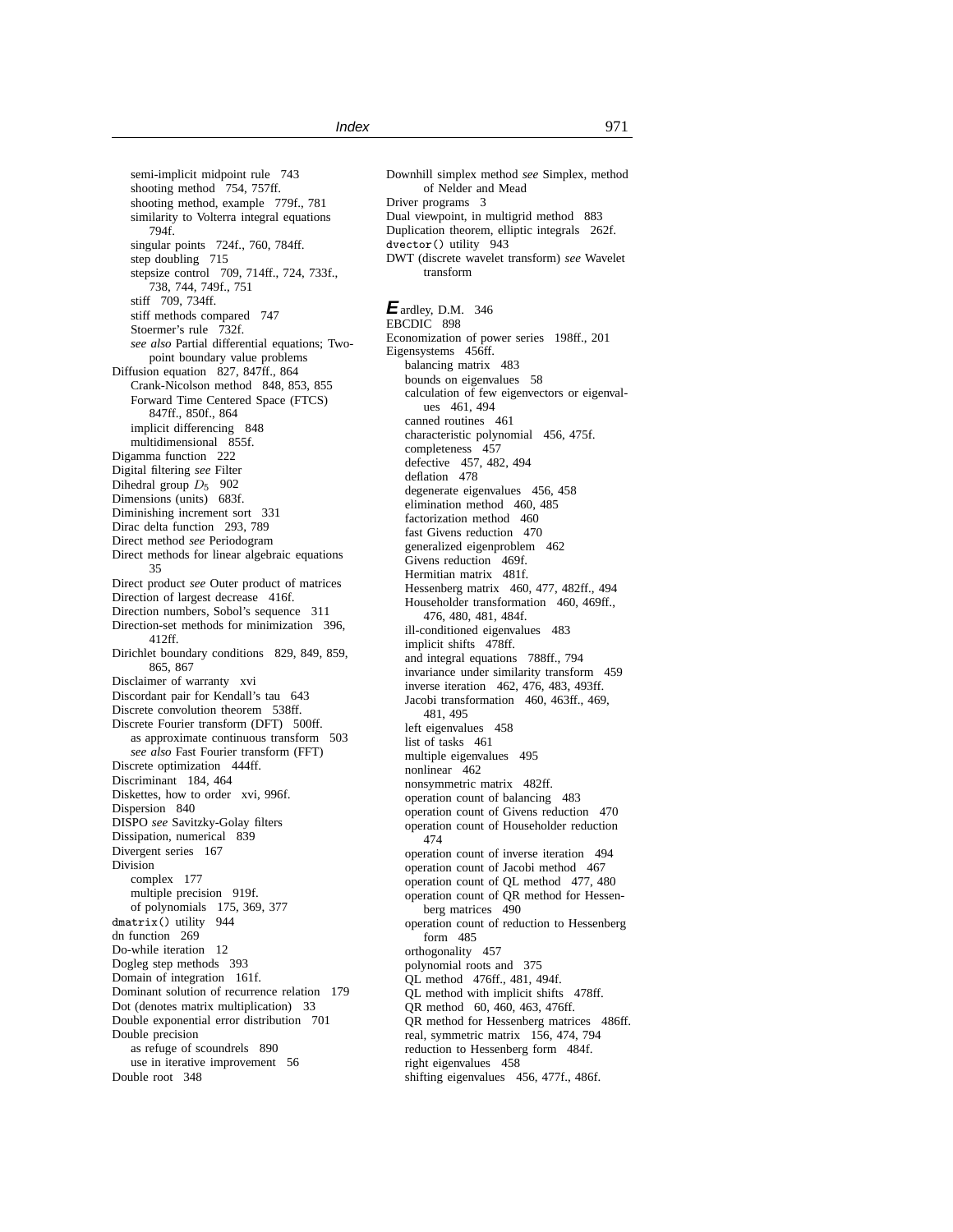semi-implicit midpoint rule 743 shooting method 754, 757ff. shooting method, example 779f., 781 similarity to Volterra integral equations 794f. singular points 724f., 760, 784ff. step doubling 715 stepsize control 709, 714ff., 724, 733f., 738, 744, 749f., 751 stiff 709, 734ff. stiff methods compared 747 Stoermer's rule 732f. *see also* Partial differential equations; Twopoint boundary value problems Diffusion equation 827, 847ff., 864 Crank-Nicolson method 848, 853, 855 Forward Time Centered Space (FTCS) 847ff., 850f., 864 implicit differencing 848 multidimensional 855f. Digamma function 222 Digital filtering *see* Filter Dihedral group  $D_5$  902 Dimensions (units) 683f. Diminishing increment sort 331 Dirac delta function 293, 789 Direct method *see* Periodogram Direct methods for linear algebraic equations 35 Direct product *see* Outer product of matrices Direction of largest decrease 416f. Direction numbers, Sobol's sequence 311 Direction-set methods for minimization 396, 412ff. Dirichlet boundary conditions 829, 849, 859, 865, 867 Disclaimer of warranty xvi Discordant pair for Kendall's tau 643 Discrete convolution theorem 538ff. Discrete Fourier transform (DFT) 500ff. as approximate continuous transform 503 *see also* Fast Fourier transform (FFT) Discrete optimization 444ff. Discriminant 184, 464 Diskettes, how to order xvi, 996f. Dispersion 840 DISPO *see* Savitzky-Golay filters Dissipation, numerical 839 Divergent series 167 Division complex 177 multiple precision 919f. of polynomials 175, 369, 377 dmatrix() utility 944 dn function 269 Do-while iteration 12 Dogleg step methods 393 Domain of integration 161f. Dominant solution of recurrence relation 179 Dot (denotes matrix multiplication) 33 Double exponential error distribution 701 Double precision as refuge of scoundrels 890 use in iterative improvement 56 Double root 348

Downhill simplex method *see* Simplex, method of Nelder and Mead Driver programs 3 Dual viewpoint, in multigrid method 883 Duplication theorem, elliptic integrals 262f. dvector() utility 943 DWT (discrete wavelet transform) *see* Wavelet transform **E**ardley, D.M. 346 EBCDIC 898 Economization of power series 198ff., 201 Eigensystems 456ff. balancing matrix 483 bounds on eigenvalues 58 calculation of few eigenvectors or eigenvalues 461, 494 canned routines 461 characteristic polynomial 456, 475f. completeness 457 defective 457, 482, 494 deflation 478 degenerate eigenvalues 456, 458 elimination method 460, 485 factorization method 460 fast Givens reduction 470 generalized eigenproblem 462 Givens reduction 469f. Hermitian matrix 481f. Hessenberg matrix 460, 477, 482ff., 494 Householder transformation 460, 469ff., 476, 480, 481, 484f. ill-conditioned eigenvalues 483 implicit shifts 478ff. and integral equations 788ff., 794 invariance under similarity transform 459 inverse iteration 462, 476, 483, 493ff. Jacobi transformation 460, 463ff., 469, 481, 495 left eigenvalues 458 list of tasks 461 multiple eigenvalues 495 nonlinear 462 nonsymmetric matrix 482ff. operation count of balancing 483 operation count of Givens reduction 470 operation count of Householder reduction 474 operation count of inverse iteration 494 operation count of Jacobi method 467 operation count of QL method 477, 480 operation count of QR method for Hessenberg matrices 490 operation count of reduction to Hessenberg form 485 orthogonality 457 polynomial roots and 375 QL method 476ff., 481, 494f. QL method with implicit shifts 478ff. QR method 60, 460, 463, 476ff. QR method for Hessenberg matrices 486ff. real, symmetric matrix 156, 474, 794 reduction to Hessenberg form 484f. right eigenvalues 458 shifting eigenvalues 456, 477f., 486f.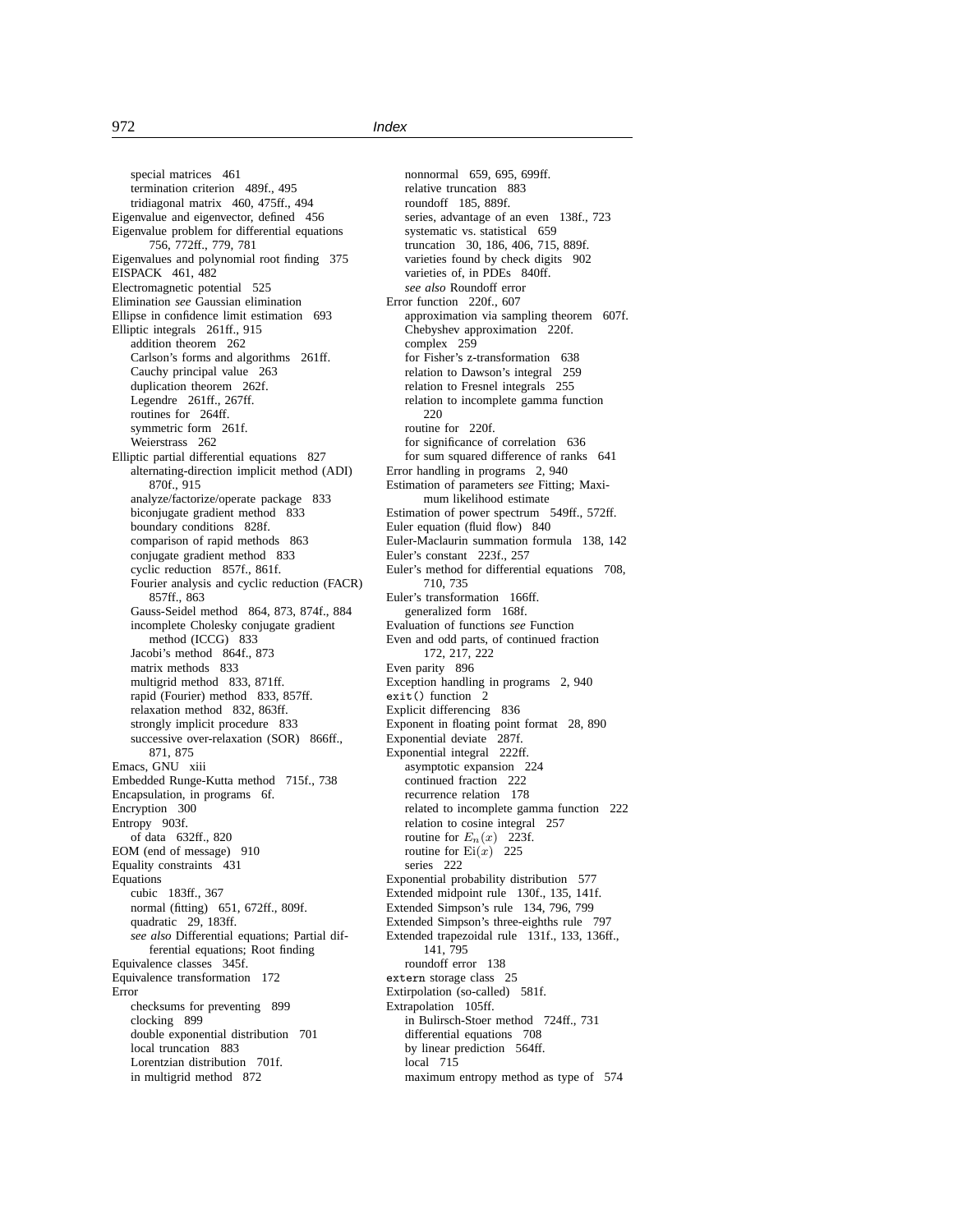special matrices 461 termination criterion 489f., 495 tridiagonal matrix 460, 475ff., 494 Eigenvalue and eigenvector, defined 456 Eigenvalue problem for differential equations 756, 772ff., 779, 781 Eigenvalues and polynomial root finding 375 EISPACK 461, 482 Electromagnetic potential 525 Elimination *see* Gaussian elimination Ellipse in confidence limit estimation 693 Elliptic integrals 261ff., 915 addition theorem 262 Carlson's forms and algorithms 261ff. Cauchy principal value 263 duplication theorem 262f. Legendre 261ff., 267ff. routines for 264ff. symmetric form 261f. Weierstrass 262 Elliptic partial differential equations 827 alternating-direction implicit method (ADI) 870f., 915 analyze/factorize/operate package 833 biconjugate gradient method 833 boundary conditions 828f. comparison of rapid methods 863 conjugate gradient method 833 cyclic reduction 857f., 861f. Fourier analysis and cyclic reduction (FACR) 857ff., 863 Gauss-Seidel method 864, 873, 874f., 884 incomplete Cholesky conjugate gradient method (ICCG) 833 Jacobi's method 864f., 873 matrix methods 833 multigrid method 833, 871ff. rapid (Fourier) method 833, 857ff. relaxation method 832, 863ff. strongly implicit procedure 833 successive over-relaxation (SOR) 866ff., 871, 875 Emacs, GNU xiii Embedded Runge-Kutta method 715f., 738 Encapsulation, in programs 6f. Encryption 300 Entropy 903f. of data 632ff., 820 EOM (end of message) 910 Equality constraints 431 Equations cubic 183ff., 367 normal (fitting) 651, 672ff., 809f. quadratic 29, 183ff. *see also* Differential equations; Partial differential equations; Root finding Equivalence classes 345f. Equivalence transformation 172 Error checksums for preventing 899 clocking 899 double exponential distribution 701 local truncation 883 Lorentzian distribution 701f. in multigrid method 872

nonnormal 659, 695, 699ff. relative truncation 883 roundoff 185, 889f. series, advantage of an even 138f., 723 systematic vs. statistical 659 truncation 30, 186, 406, 715, 889f. varieties found by check digits 902 varieties of, in PDEs 840ff. *see also* Roundoff error Error function 220f., 607 approximation via sampling theorem 607f. Chebyshev approximation 220f. complex 259 for Fisher's z-transformation 638 relation to Dawson's integral 259 relation to Fresnel integrals 255 relation to incomplete gamma function 220 routine for 220f. for significance of correlation 636 for sum squared difference of ranks 641 Error handling in programs 2, 940 Estimation of parameters *see* Fitting; Maximum likelihood estimate Estimation of power spectrum 549ff., 572ff. Euler equation (fluid flow) 840 Euler-Maclaurin summation formula 138, 142 Euler's constant 223f., 257 Euler's method for differential equations 708, 710, 735 Euler's transformation 166ff. generalized form 168f. Evaluation of functions *see* Function Even and odd parts, of continued fraction 172, 217, 222 Even parity 896 Exception handling in programs 2, 940 exit() function 2 Explicit differencing 836 Exponent in floating point format 28, 890 Exponential deviate 287f. Exponential integral 222ff. asymptotic expansion 224 continued fraction 222 recurrence relation 178 related to incomplete gamma function 222 relation to cosine integral 257 routine for  $E_n(x)$  223f. routine for  $Ei(x)$  225 series 222 Exponential probability distribution 577 Extended midpoint rule 130f., 135, 141f. Extended Simpson's rule 134, 796, 799 Extended Simpson's three-eighths rule 797 Extended trapezoidal rule 131f., 133, 136ff., 141, 795 roundoff error 138 extern storage class 25 Extirpolation (so-called) 581f. Extrapolation 105ff. in Bulirsch-Stoer method 724ff., 731 differential equations 708 by linear prediction 564ff. local 715 maximum entropy method as type of 574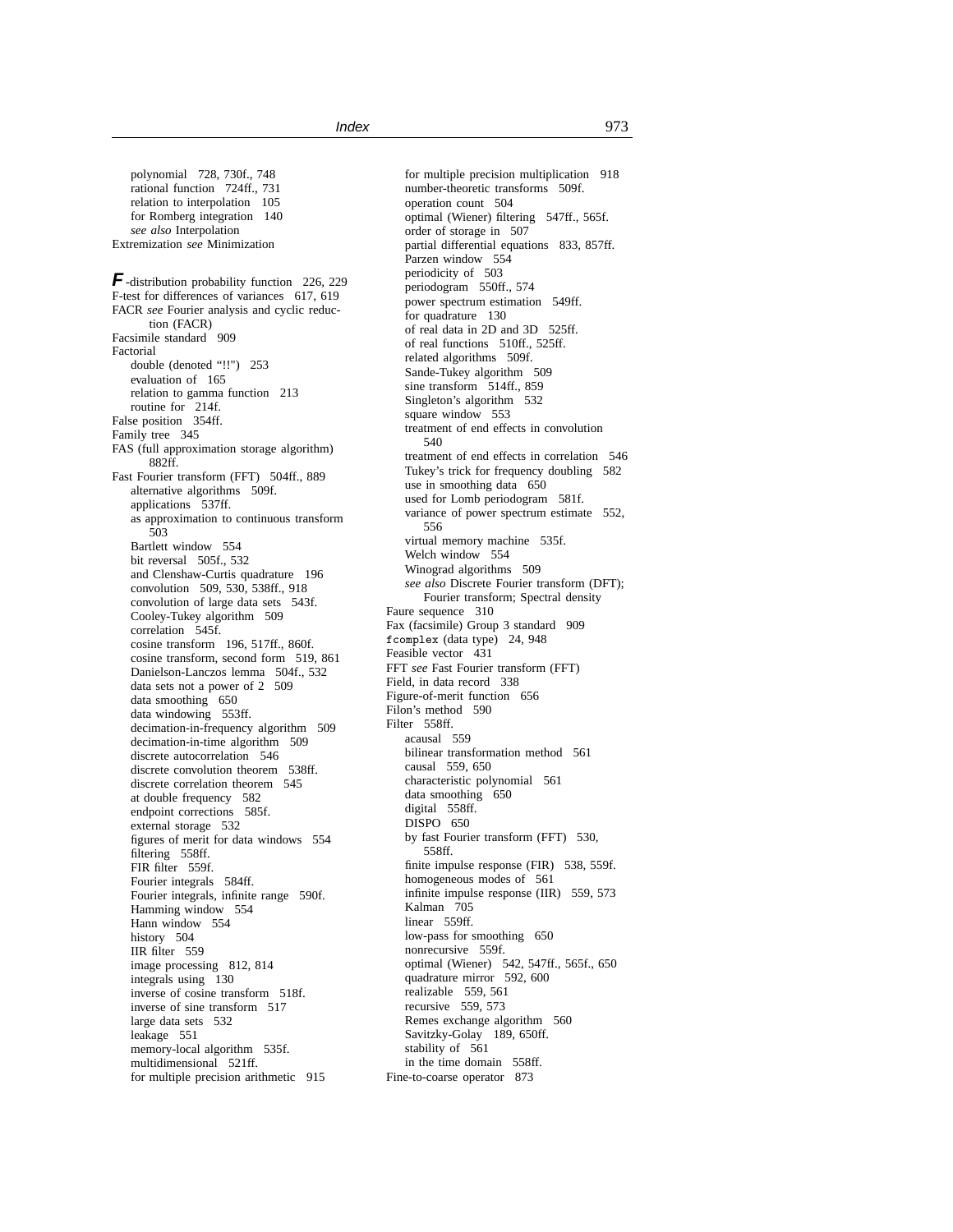polynomial 728, 730f., 748 rational function 724ff., 731 relation to interpolation 105 for Romberg integration 140 *see also* Interpolation Extremization *see* Minimization

**F**-distribution probability function 226, 229 F-test for differences of variances 617, 619 FACR *see* Fourier analysis and cyclic reduction (FACR) Facsimile standard 909 Factorial double (denoted "!!") 253 evaluation of 165 relation to gamma function 213 routine for 214f. False position 354ff. Family tree 345 FAS (full approximation storage algorithm) 882ff. Fast Fourier transform (FFT) 504ff., 889 alternative algorithms 509f. applications 537ff. as approximation to continuous transform 503 Bartlett window 554 bit reversal 505f., 532 and Clenshaw-Curtis quadrature 196 convolution 509, 530, 538ff., 918 convolution of large data sets 543f. Cooley-Tukey algorithm 509 correlation 545f. cosine transform 196, 517ff., 860f. cosine transform, second form 519, 861 Danielson-Lanczos lemma 504f., 532 data sets not a power of 2 509 data smoothing 650 data windowing 553ff. decimation-in-frequency algorithm 509 decimation-in-time algorithm 509 discrete autocorrelation 546 discrete convolution theorem 538ff. discrete correlation theorem 545 at double frequency 582 endpoint corrections 585f. external storage 532 figures of merit for data windows 554 filtering 558ff. FIR filter 559f. Fourier integrals 584ff. Fourier integrals, infinite range 590f. Hamming window 554 Hann window 554 history 504 IIR filter 559 image processing 812, 814 integrals using 130 inverse of cosine transform 518f. inverse of sine transform 517 large data sets 532 leakage 551 memory-local algorithm 535f. multidimensional 521ff. for multiple precision arithmetic 915

for multiple precision multiplication 918 number-theoretic transforms 509f. operation count 504 optimal (Wiener) filtering 547ff., 565f. order of storage in 507 partial differential equations 833, 857ff. Parzen window 554 periodicity of 503 periodogram 550ff., 574 power spectrum estimation 549ff. for quadrature 130 of real data in 2D and 3D 525ff. of real functions 510ff., 525ff. related algorithms 509f. Sande-Tukey algorithm 509 sine transform 514ff., 859 Singleton's algorithm 532 square window 553 treatment of end effects in convolution 540 treatment of end effects in correlation 546 Tukey's trick for frequency doubling 582 use in smoothing data 650 used for Lomb periodogram 581f. variance of power spectrum estimate 552, 556 virtual memory machine 535f. Welch window 554 Winograd algorithms 509 *see also* Discrete Fourier transform (DFT); Fourier transform; Spectral density Faure sequence 310 Fax (facsimile) Group 3 standard 909 fcomplex (data type) 24, 948 Feasible vector 431 FFT *see* Fast Fourier transform (FFT) Field, in data record 338 Figure-of-merit function 656 Filon's method 590 Filter 558ff. acausal 559 bilinear transformation method 561 causal 559, 650 characteristic polynomial 561 data smoothing 650 digital 558ff. DISPO 650 by fast Fourier transform (FFT) 530, 558ff. finite impulse response (FIR) 538, 559f. homogeneous modes of 561 infinite impulse response (IIR) 559, 573 Kalman 705 linear 559ff. low-pass for smoothing 650 nonrecursive 559f. optimal (Wiener) 542, 547ff., 565f., 650 quadrature mirror 592, 600 realizable 559, 561 recursive 559, 573 Remes exchange algorithm 560 Savitzky-Golay 189, 650ff. stability of 561 in the time domain 558ff. Fine-to-coarse operator 873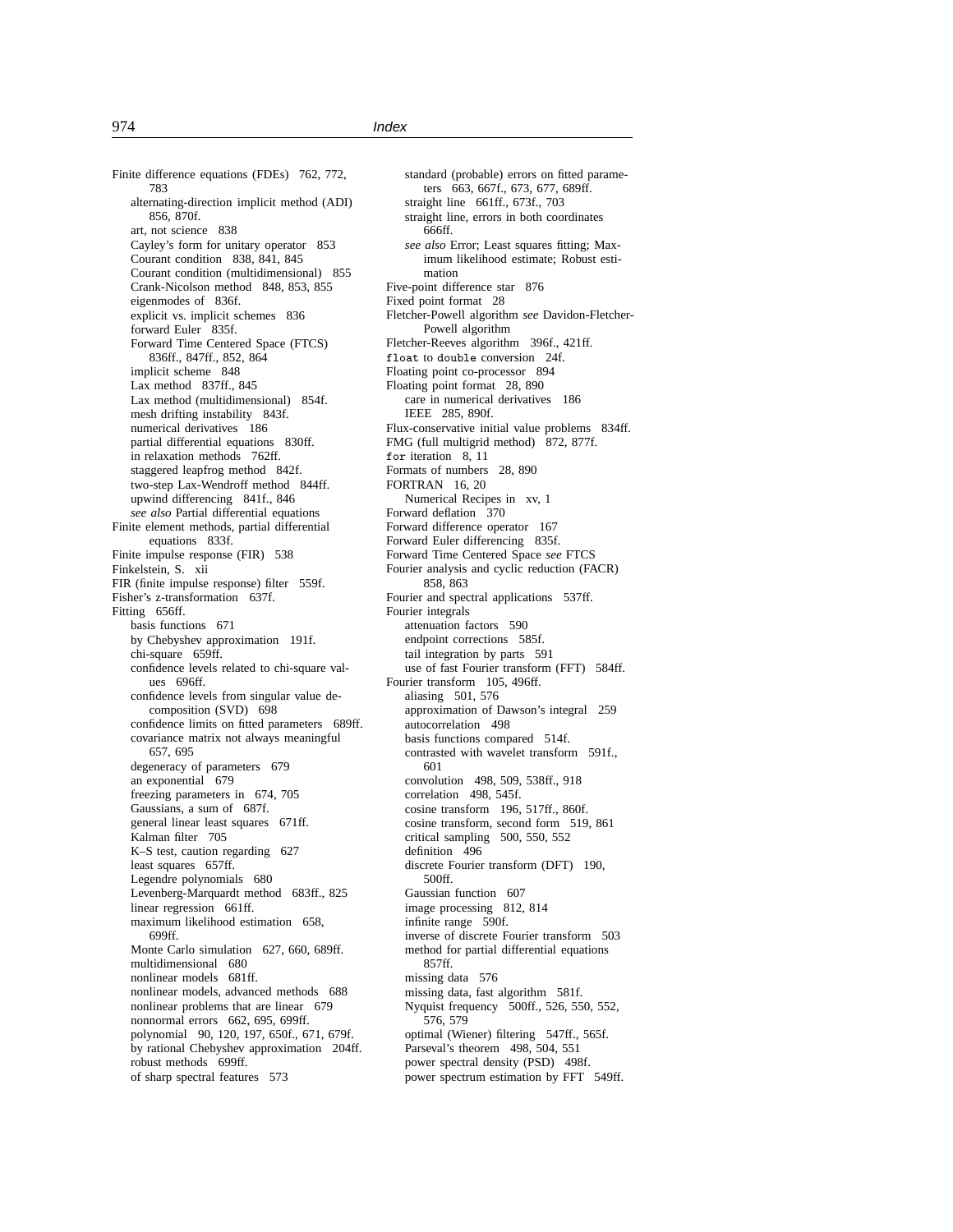Finite difference equations (FDEs) 762, 772, 783 alternating-direction implicit method (ADI) 856, 870f. art, not science 838 Cayley's form for unitary operator 853 Courant condition 838, 841, 845 Courant condition (multidimensional) 855 Crank-Nicolson method 848, 853, 855 eigenmodes of 836f. explicit vs. implicit schemes 836 forward Euler<sup>5</sup>835f. Forward Time Centered Space (FTCS) 836ff., 847ff., 852, 864 implicit scheme 848 Lax method 837ff., 845 Lax method (multidimensional) 854f. mesh drifting instability 843f. numerical derivatives 186 partial differential equations 830ff. in relaxation methods 762ff. staggered leapfrog method 842f. two-step Lax-Wendroff method 844ff. upwind differencing 841f., 846 *see also* Partial differential equations Finite element methods, partial differential equations 833f. Finite impulse response (FIR) 538 Finkelstein, S. xii FIR (finite impulse response) filter 559f. Fisher's z-transformation 637f. Fitting 656ff. basis functions 671 by Chebyshev approximation 191f. chi-square 659ff. confidence levels related to chi-square values 696ff. confidence levels from singular value decomposition (SVD) 698 confidence limits on fitted parameters 689ff. covariance matrix not always meaningful 657, 695 degeneracy of parameters 679 an exponential 679 freezing parameters in 674, 705 Gaussians, a sum of 687f. general linear least squares 671ff. Kalman filter 705 K–S test, caution regarding 627 least squares 657ff. Legendre polynomials 680 Levenberg-Marquardt method 683ff., 825 linear regression 661ff. maximum likelihood estimation 658, 699ff. Monte Carlo simulation 627, 660, 689ff. multidimensional 680 nonlinear models 681ff. nonlinear models, advanced methods 688 nonlinear problems that are linear 679 nonnormal errors 662, 695, 699ff. polynomial 90, 120, 197, 650f., 671, 679f. by rational Chebyshev approximation 204ff. robust methods 699ff. of sharp spectral features 573

standard (probable) errors on fitted parameters 663, 667f., 673, 677, 689ff. straight line 661ff., 673f., 703 straight line, errors in both coordinates 666ff. *see also* Error; Least squares fitting; Maximum likelihood estimate; Robust estimation Five-point difference star 876 Fixed point format 28 Fletcher-Powell algorithm *see* Davidon-Fletcher-Powell algorithm Fletcher-Reeves algorithm 396f., 421ff. float to double conversion 24f. Floating point co-processor 894 Floating point format 28, 890 care in numerical derivatives 186 IEEE 285, 890f. Flux-conservative initial value problems 834ff. FMG (full multigrid method) 872, 877f. for iteration 8, 11 Formats of numbers 28, 890 FORTRAN 16, 20 Numerical Recipes in xv, 1 Forward deflation 370 Forward difference operator 167 Forward Euler differencing 835f. Forward Time Centered Space *see* FTCS Fourier analysis and cyclic reduction (FACR) 858, 863 Fourier and spectral applications 537ff. Fourier integrals attenuation factors 590 endpoint corrections 585f. tail integration by parts 591 use of fast Fourier transform (FFT) 584ff. Fourier transform 105, 496ff. aliasing 501, 576 approximation of Dawson's integral 259 autocorrelation 498 basis functions compared 514f. contrasted with wavelet transform 591f., 601 convolution 498, 509, 538ff., 918 correlation 498, 545f. cosine transform 196, 517ff., 860f. cosine transform, second form 519, 861 critical sampling 500, 550, 552 definition 496 discrete Fourier transform (DFT) 190, 500ff. Gaussian function 607 image processing 812, 814 infinite range 590f. inverse of discrete Fourier transform 503 method for partial differential equations 857ff. missing data 576 missing data, fast algorithm 581f. Nyquist frequency 500ff., 526, 550, 552, 576, 579 optimal (Wiener) filtering 547ff., 565f. Parseval's theorem 498, 504, 551 power spectral density (PSD) 498f. power spectrum estimation by FFT 549ff.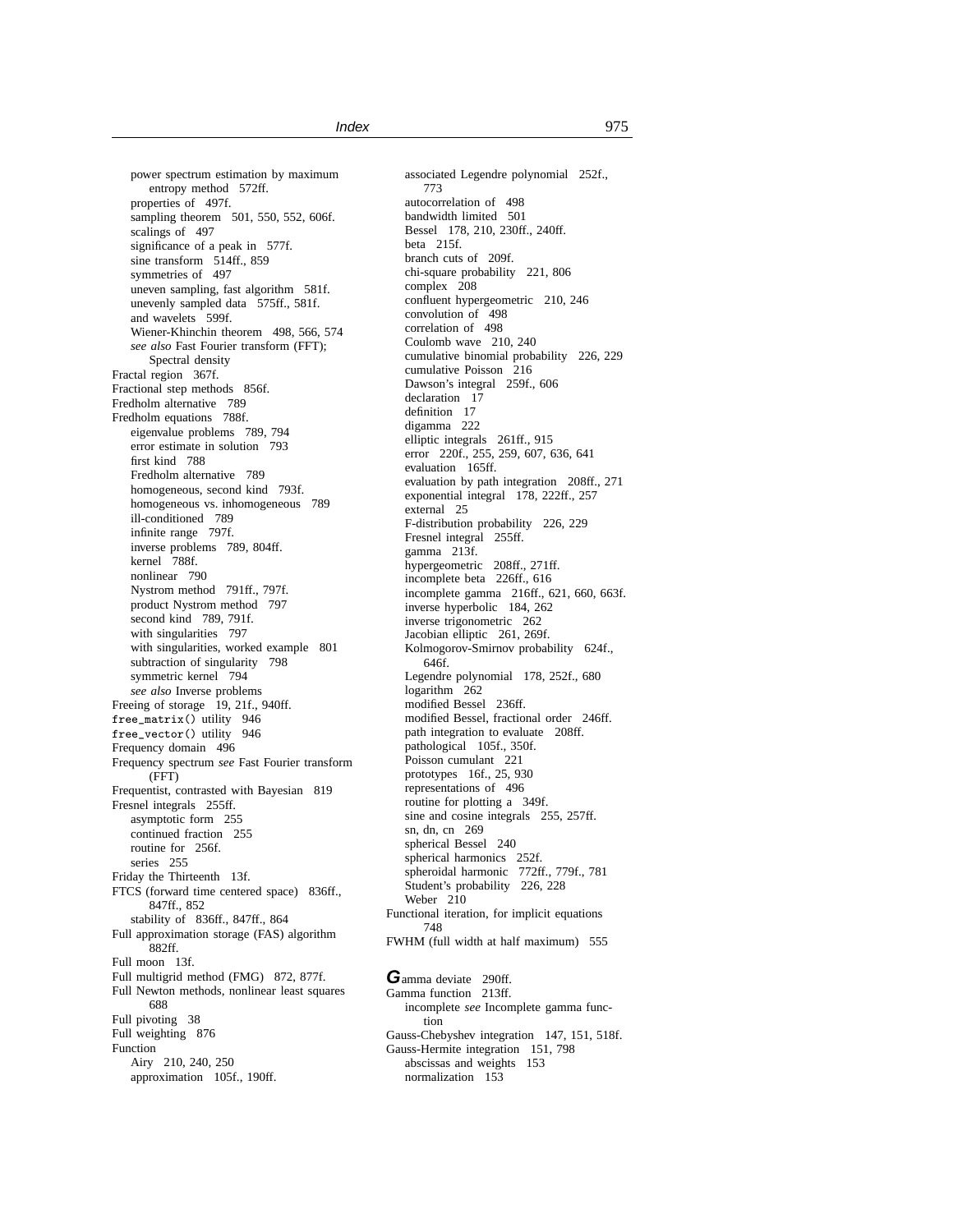power spectrum estimation by maximum entropy method 572ff. properties of 497f. sampling theorem 501, 550, 552, 606f. scalings of 497 significance of a peak in 577f. sine transform 514ff., 859 symmetries of 497 uneven sampling, fast algorithm 581f. unevenly sampled data 575ff., 581f. and wavelets 599f. Wiener-Khinchin theorem 498, 566, 574 *see also* Fast Fourier transform (FFT); Spectral density Fractal region 367f. Fractional step methods 856f. Fredholm alternative 789 Fredholm equations 788f. eigenvalue problems 789, 794 error estimate in solution 793 first kind 788 Fredholm alternative 789 homogeneous, second kind 793f. homogeneous vs. inhomogeneous 789 ill-conditioned 789 infinite range 797f. inverse problems 789, 804ff. kernel 788f. nonlinear 790 Nystrom method 791ff., 797f. product Nystrom method 797 second kind 789, 791f. with singularities 797 with singularities, worked example 801 subtraction of singularity 798 symmetric kernel 794 *see also* Inverse problems Freeing of storage 19, 21f., 940ff. free\_matrix() utility 946 free\_vector() utility 946 Frequency domain 496 Frequency spectrum *see* Fast Fourier transform (FFT) Frequentist, contrasted with Bayesian 819 Fresnel integrals 255ff. asymptotic form 255 continued fraction 255 routine for 256f. series 255 Friday the Thirteenth 13f. FTCS (forward time centered space) 836ff., 847ff., 852 stability of 836ff., 847ff., 864 Full approximation storage (FAS) algorithm 882ff. Full moon 13f. Full multigrid method (FMG) 872, 877f. Full Newton methods, nonlinear least squares 688 Full pivoting 38 Full weighting 876 Function Airy 210, 240, 250 approximation 105f., 190ff.

associated Legendre polynomial 252f., 773 autocorrelation of 498 bandwidth limited 501 Bessel 178, 210, 230ff., 240ff. beta 215f. branch cuts of 209f. chi-square probability 221, 806 complex 208 confluent hypergeometric 210, 246 convolution of 498 correlation of 498 Coulomb wave 210, 240 cumulative binomial probability 226, 229 cumulative Poisson 216 Dawson's integral 259f., 606 declaration 17 definition 17 digamma 222 elliptic integrals 261ff., 915 error 220f., 255, 259, 607, 636, 641 evaluation 165ff. evaluation by path integration 208ff., 271 exponential integral 178, 222ff., 257 external 25 F-distribution probability 226, 229 Fresnel integral 255ff. gamma 213f. hypergeometric 208ff., 271ff. incomplete beta 226ff., 616 incomplete gamma 216ff., 621, 660, 663f. inverse hyperbolic 184, 262 inverse trigonometric 262 Jacobian elliptic 261, 269f. Kolmogorov-Smirnov probability 624f., 646f. Legendre polynomial 178, 252f., 680 logarithm<sup>262</sup> modified Bessel 236ff. modified Bessel, fractional order 246ff. path integration to evaluate 208ff. pathological 105f., 350f. Poisson cumulant 221 prototypes 16f., 25, 930 representations of 496 routine for plotting a 349f. sine and cosine integrals 255, 257ff. sn, dn, cn 269 spherical Bessel 240 spherical harmonics 252f. spheroidal harmonic 772ff., 779f., 781 Student's probability 226, 228 Weber 210 Functional iteration, for implicit equations 748 FWHM (full width at half maximum) 555 Gamma deviate 290ff. Gamma function 213ff. incomplete *see* Incomplete gamma function Gauss-Chebyshev integration 147, 151, 518f. Gauss-Hermite integration 151, 798 abscissas and weights 153

normalization 153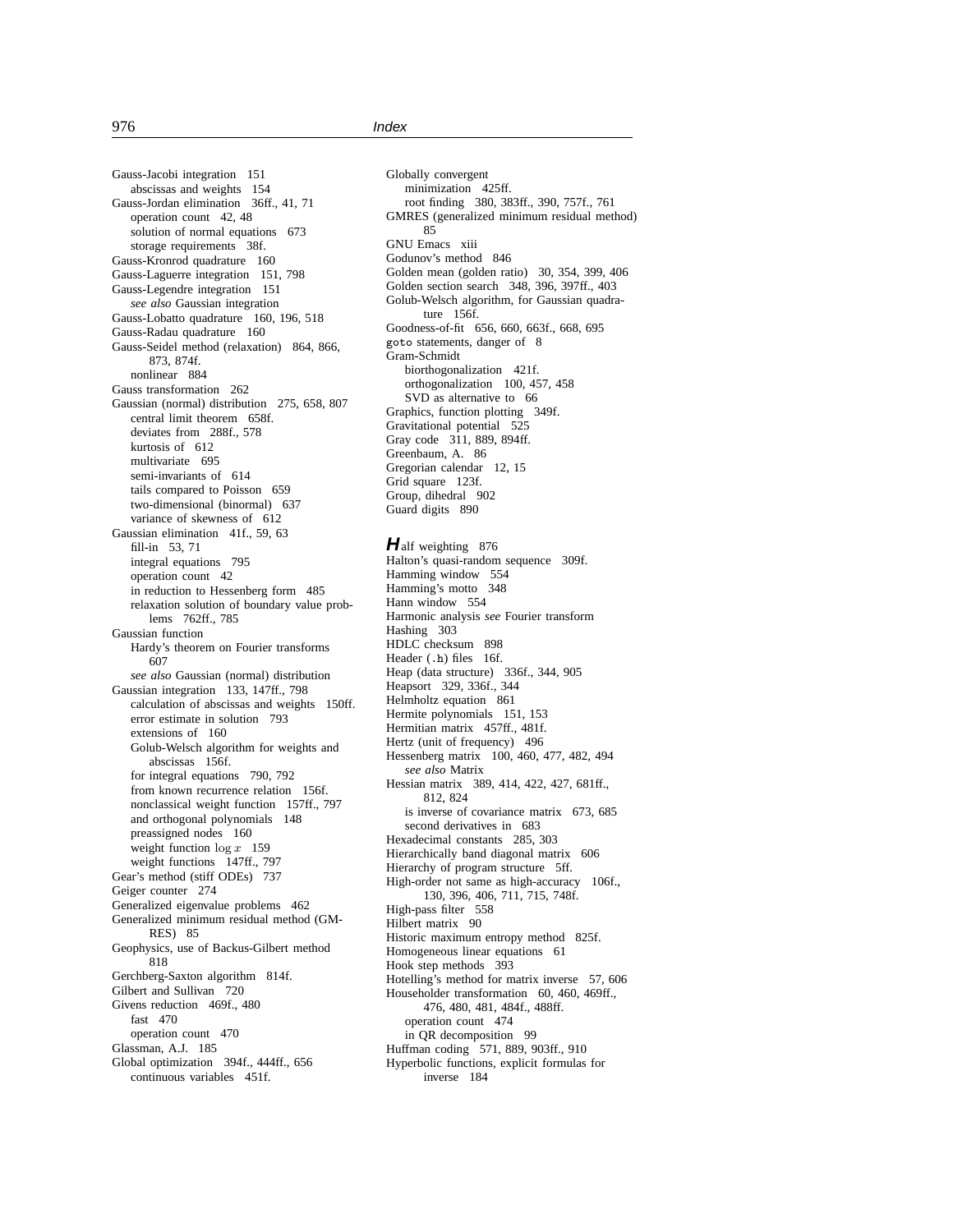Gauss-Jacobi integration 151 abscissas and weights 154 Gauss-Jordan elimination 36ff., 41, 71 operation count 42, 48 solution of normal equations 673 storage requirements 38f. Gauss-Kronrod quadrature 160 Gauss-Laguerre integration 151, 798 Gauss-Legendre integration 151 *see also* Gaussian integration Gauss-Lobatto quadrature 160, 196, 518 Gauss-Radau quadrature 160 Gauss-Seidel method (relaxation) 864, 866, 873, 874f. nonlinear 884 Gauss transformation 262 Gaussian (normal) distribution 275, 658, 807 central limit theorem 658f. deviates from 288f., 578 kurtosis of 612 multivariate 695 semi-invariants of 614 tails compared to Poisson 659 two-dimensional (binormal) 637 variance of skewness of 612 Gaussian elimination 41f., 59, 63 fill-in 53, 71 integral equations 795 operation count 42 in reduction to Hessenberg form 485 relaxation solution of boundary value problems 762ff., 785 Gaussian function Hardy's theorem on Fourier transforms 607 *see also* Gaussian (normal) distribution Gaussian integration 133, 147ff., 798 calculation of abscissas and weights 150ff. error estimate in solution 793 extensions of 160 Golub-Welsch algorithm for weights and abscissas 156f. for integral equations 790, 792 from known recurrence relation 156f. nonclassical weight function 157ff., 797 and orthogonal polynomials 148 preassigned nodes 160 weight function  $\log x$  159 weight functions 147ff., 797 Gear's method (stiff ODEs) 737 Geiger counter 274 Generalized eigenvalue problems 462 Generalized minimum residual method (GM-RES) 85 Geophysics, use of Backus-Gilbert method 818 Gerchberg-Saxton algorithm 814f. Gilbert and Sullivan 720 Givens reduction 469f., 480 fast 470 operation count 470 Glassman, A.J. 185 Global optimization 394f., 444ff., 656 continuous variables 451f.

Globally convergent minimization 425ff. root finding 380, 383ff., 390, 757f., 761 GMRES (generalized minimum residual method) 85 GNU Emacs xiii Godunov's method 846 Golden mean (golden ratio) 30, 354, 399, 406 Golden section search 348, 396, 397ff., 403 Golub-Welsch algorithm, for Gaussian quadrature 156f. Goodness-of-fit 656, 660, 663f., 668, 695 goto statements, danger of 8 Gram-Schmidt biorthogonalization 421f. orthogonalization 100, 457, 458 SVD as alternative to 66 Graphics, function plotting 349f. Gravitational potential 525 Gray code 311, 889, 894ff. Greenbaum, A. 86 Gregorian calendar 12, 15 Grid square 123f. Group, dihedral 902 Guard digits 890 **H**alf weighting 876 Halton's quasi-random sequence 309f. Hamming window 554 Hamming's motto 348 Hann window 554 Harmonic analysis *see* Fourier transform Hashing 303 HDLC checksum 898 Header (.h) files 16f. Heap (data structure) 336f., 344, 905 Heapsort 329, 336f., 344 Helmholtz equation 861 Hermite polynomials 151, 153 Hermitian matrix 457ff., 481f. Hertz (unit of frequency) 496 Hessenberg matrix 100, 460, 477, 482, 494 *see also* Matrix Hessian matrix 389, 414, 422, 427, 681ff., 812, 824 is inverse of covariance matrix 673, 685 second derivatives in 683 Hexadecimal constants 285, 303 Hierarchically band diagonal matrix 606 Hierarchy of program structure 5ff. High-order not same as high-accuracy 106f., 130, 396, 406, 711, 715, 748f. High-pass filter 558 Hilbert matrix 90 Historic maximum entropy method 825f. Homogeneous linear equations 61 Hook step methods 393 Hotelling's method for matrix inverse 57, 606 Householder transformation 60, 460, 469ff., 476, 480, 481, 484f., 488ff. operation count 474 in QR decomposition 99 Huffman coding 571, 889, 903ff., 910 Hyperbolic functions, explicit formulas for inverse 184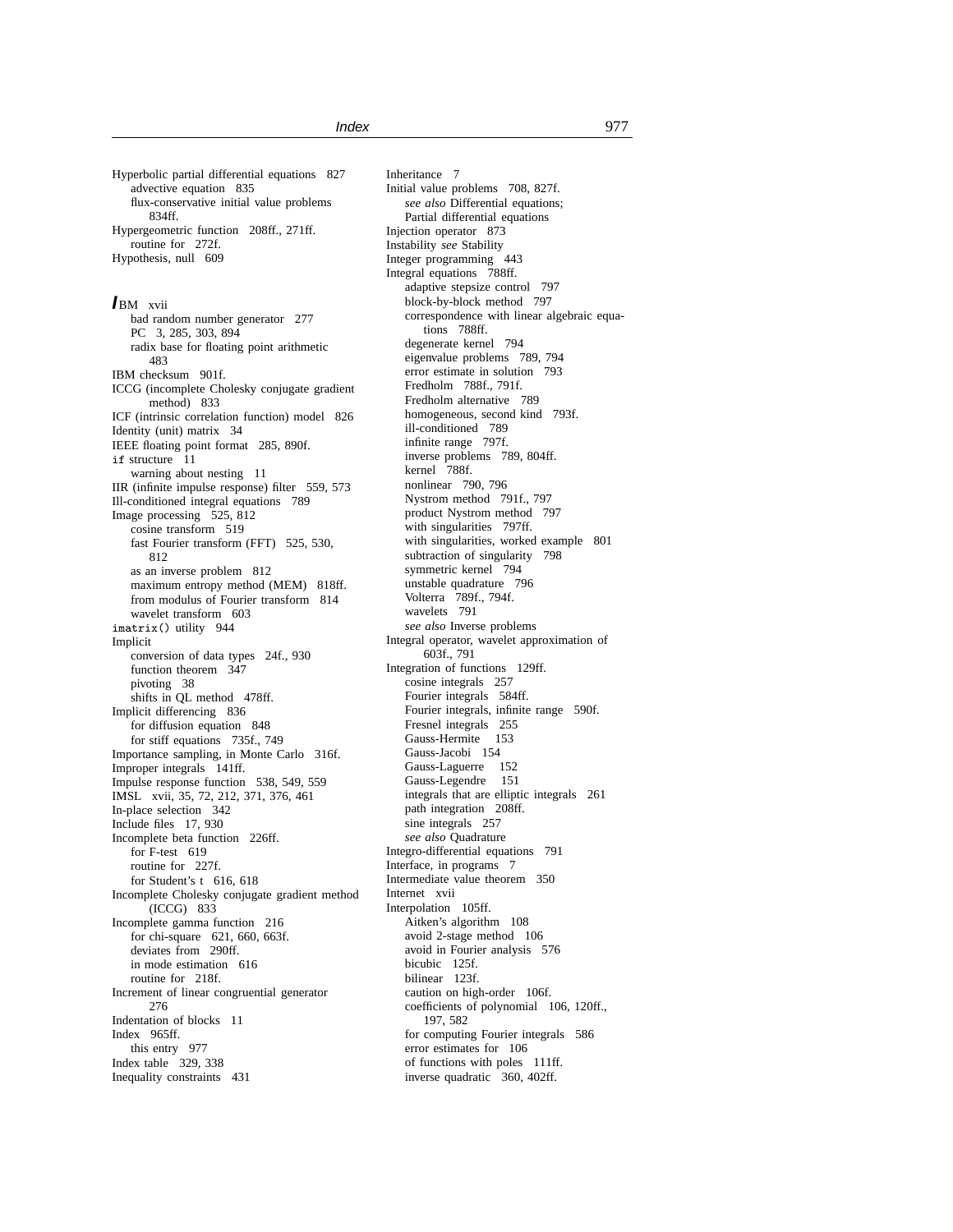Hyperbolic partial differential equations 827 advective equation 835 flux-conservative initial value problems 834ff. Hypergeometric function 208ff., 271ff. routine for 272f. Hypothesis, null 609

#### **I**BM xvii

bad random number generator 277 PC 3, 285, 303, 894 radix base for floating point arithmetic 483 IBM checksum 901f. ICCG (incomplete Cholesky conjugate gradient method) 833 ICF (intrinsic correlation function) model 826 Identity (unit) matrix 34 IEEE floating point format 285, 890f. if structure 11 warning about nesting 11 IIR (infinite impulse response) filter 559, 573 Ill-conditioned integral equations 789 Image processing 525, 812 cosine transform 519 fast Fourier transform (FFT) 525, 530, 812 as an inverse problem 812 maximum entropy method (MEM) 818ff. from modulus of Fourier transform 814 wavelet transform 603 imatrix() utility 944 Implicit conversion of data types 24f., 930 function theorem 347 pivoting 38 shifts in QL method 478ff. Implicit differencing 836 for diffusion equation 848 for stiff equations 735f., 749 Importance sampling, in Monte Carlo 316f. Improper integrals 141ff. Impulse response function 538, 549, 559 IMSL xvii, 35, 72, 212, 371, 376, 461 In-place selection 342 Include files 17, 930 Incomplete beta function 226ff. for F-test 619 routine for 227f. for Student's t 616, 618 Incomplete Cholesky conjugate gradient method (ICCG) 833 Incomplete gamma function 216 for chi-square 621, 660, 663f. deviates from 290ff. in mode estimation 616 routine for 218f. Increment of linear congruential generator 276 Indentation of blocks 11 Index 965ff. this entry 977 Index table 329, 338 Inequality constraints 431

Inheritance 7 Initial value problems 708, 827f. *see also* Differential equations; Partial differential equations Injection operator 873 Instability *see* Stability Integer programming 443 Integral equations 788ff. adaptive stepsize control 797 block-by-block method 797 correspondence with linear algebraic equations 788ff. degenerate kernel 794 eigenvalue problems 789, 794 error estimate in solution 793 Fredholm 788f., 791f. Fredholm alternative 789 homogeneous, second kind 793f. ill-conditioned 789 infinite range 797f. inverse problems 789, 804ff. kernel 788f. nonlinear 790, 796 Nystrom method 791f., 797 product Nystrom method 797 with singularities 797ff. with singularities, worked example 801 subtraction of singularity 798 symmetric kernel 794 unstable quadrature 796 Volterra 789f., 794f. wavelets 791 *see also* Inverse problems Integral operator, wavelet approximation of 603f., 791 Integration of functions 129ff. cosine integrals 257 Fourier integrals 584ff. Fourier integrals, infinite range 590f. Fresnel integrals 255 Gauss-Hermite 153 Gauss-Jacobi 154 Gauss-Laguerre 152 Gauss-Legendre 151 integrals that are elliptic integrals 261 path integration 208ff. sine integrals 257 *see also* Quadrature Integro-differential equations 791 Interface, in programs 7 Intermediate value theorem 350 Internet xvii Interpolation 105ff. Aitken's algorithm 108 avoid 2-stage method 106 avoid in Fourier analysis 576 bicubic 125f. bilinear 123f. caution on high-order 106f. coefficients of polynomial 106, 120ff., 197, 582 for computing Fourier integrals 586 error estimates for 106 of functions with poles 111ff. inverse quadratic 360, 402ff.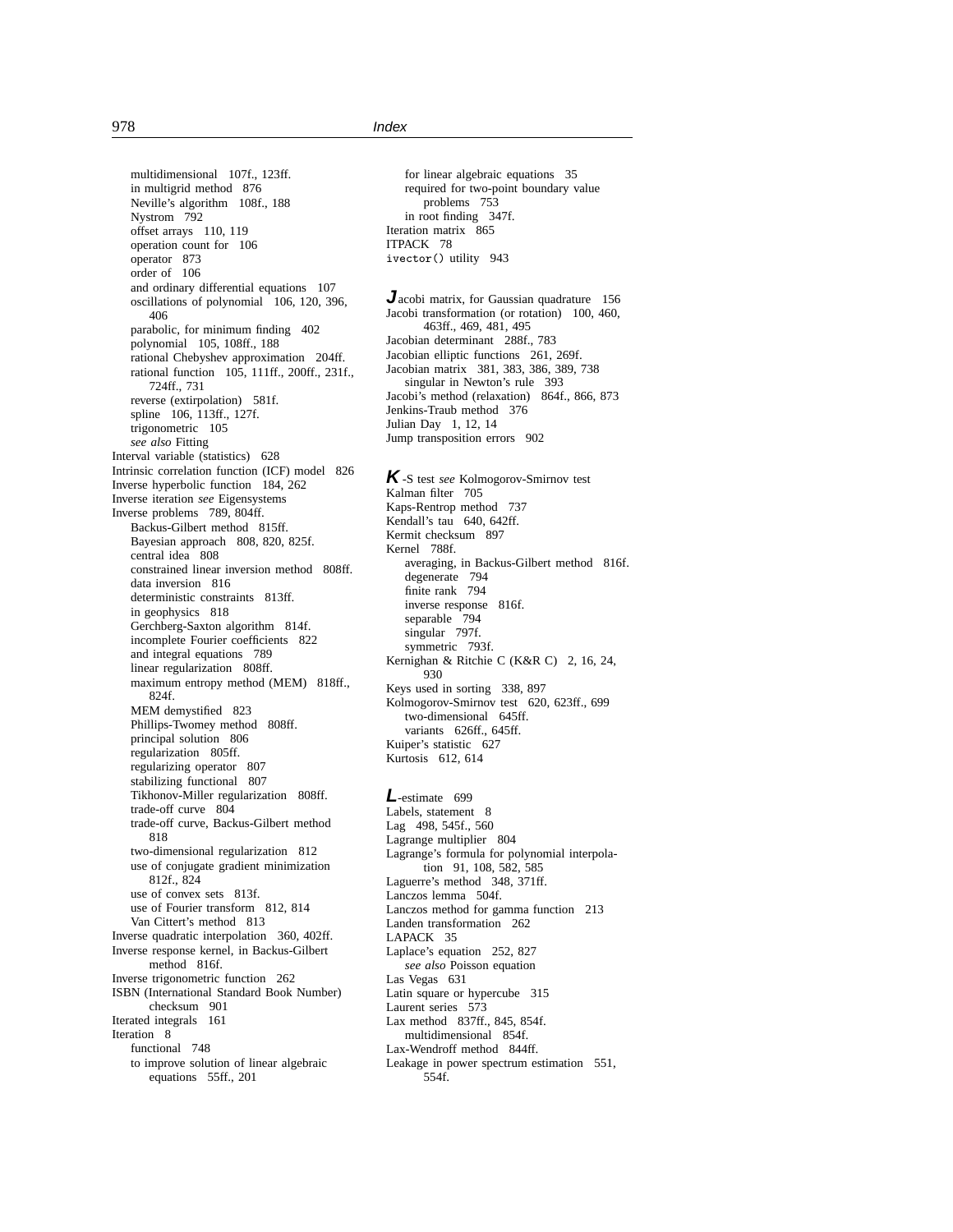multidimensional 107f., 123ff. in multigrid method 876 Neville's algorithm 108f., 188 Nystrom 792 offset arrays 110, 119 operation count for 106 operator 873 order of 106 and ordinary differential equations 107 oscillations of polynomial 106, 120, 396, 406 parabolic, for minimum finding 402 polynomial 105, 108ff., 188 rational Chebyshev approximation 204ff. rational function 105, 111ff., 200ff., 231f., 724ff., 731 reverse (extirpolation) 581f. spline 106, 113ff., 127f. trigonometric 105 *see also* Fitting Interval variable (statistics) 628 Intrinsic correlation function (ICF) model 826 Inverse hyperbolic function 184, 262 Inverse iteration *see* Eigensystems Inverse problems 789, 804ff. Backus-Gilbert method 815ff. Bayesian approach 808, 820, 825f. central idea<sup>5</sup> 808 constrained linear inversion method 808ff. data inversion 816 deterministic constraints 813ff. in geophysics 818 Gerchberg-Saxton algorithm 814f. incomplete Fourier coefficients 822 and integral equations 789 linear regularization 808ff. maximum entropy method (MEM) 818ff., 824f. MEM demystified 823 Phillips-Twomey method 808ff. principal solution 806 regularization 805ff. regularizing operator 807 stabilizing functional 807 Tikhonov-Miller regularization 808ff. trade-off curve 804 trade-off curve, Backus-Gilbert method 818 two-dimensional regularization 812 use of conjugate gradient minimization 812f., 824 use of convex sets 813f. use of Fourier transform 812, 814 Van Cittert's method 813 Inverse quadratic interpolation 360, 402ff. Inverse response kernel, in Backus-Gilbert method 816f. Inverse trigonometric function 262 ISBN (International Standard Book Number) checksum 901 Iterated integrals 161 Iteration 8 functional 748 to improve solution of linear algebraic equations 55ff., 201

for linear algebraic equations 35 required for two-point boundary value problems 753 in root finding 347f. Iteration matrix 865 ITPACK 78 ivector() utility 943

**J**acobi matrix, for Gaussian quadrature 156 Jacobi transformation (or rotation) 100, 460, 463ff., 469, 481, 495 Jacobian determinant 288f., 783 Jacobian elliptic functions 261, 269f. Jacobian matrix 381, 383, 386, 389, 738 singular in Newton's rule 393 Jacobi's method (relaxation) 864f., 866, 873 Jenkins-Traub method 376 Julian Day 1, 12, 14 Jump transposition errors 902

**K**-S test *see* Kolmogorov-Smirnov test Kalman filter 705 Kaps-Rentrop method 737 Kendall's tau 640, 642ff. Kermit checksum 897 Kernel 788f. averaging, in Backus-Gilbert method 816f. degenerate 794 finite rank 794 inverse response 816f. separable 794 singular 797f. symmetric 793f. Kernighan & Ritchie C (K&R C) 2, 16, 24, 930 Keys used in sorting 338, 897 Kolmogorov-Smirnov test 620, 623ff., 699 two-dimensional 645ff. variants 626ff., 645ff. Kuiper's statistic 627 Kurtosis 612, 614

# **L**-estimate 699

Labels, statement 8 Lag 498, 545f., 560 Lagrange multiplier 804 Lagrange's formula for polynomial interpolation 91, 108, 582, 585 Laguerre's method 348, 371ff. Lanczos lemma 504f. Lanczos method for gamma function 213 Landen transformation 262 LAPACK 35 Laplace's equation 252, 827 *see also* Poisson equation Las Vegas 631 Latin square or hypercube 315 Laurent series 573 Lax method 837ff., 845, 854f. multidimensional 854f. Lax-Wendroff method 844ff. Leakage in power spectrum estimation 551, 554f.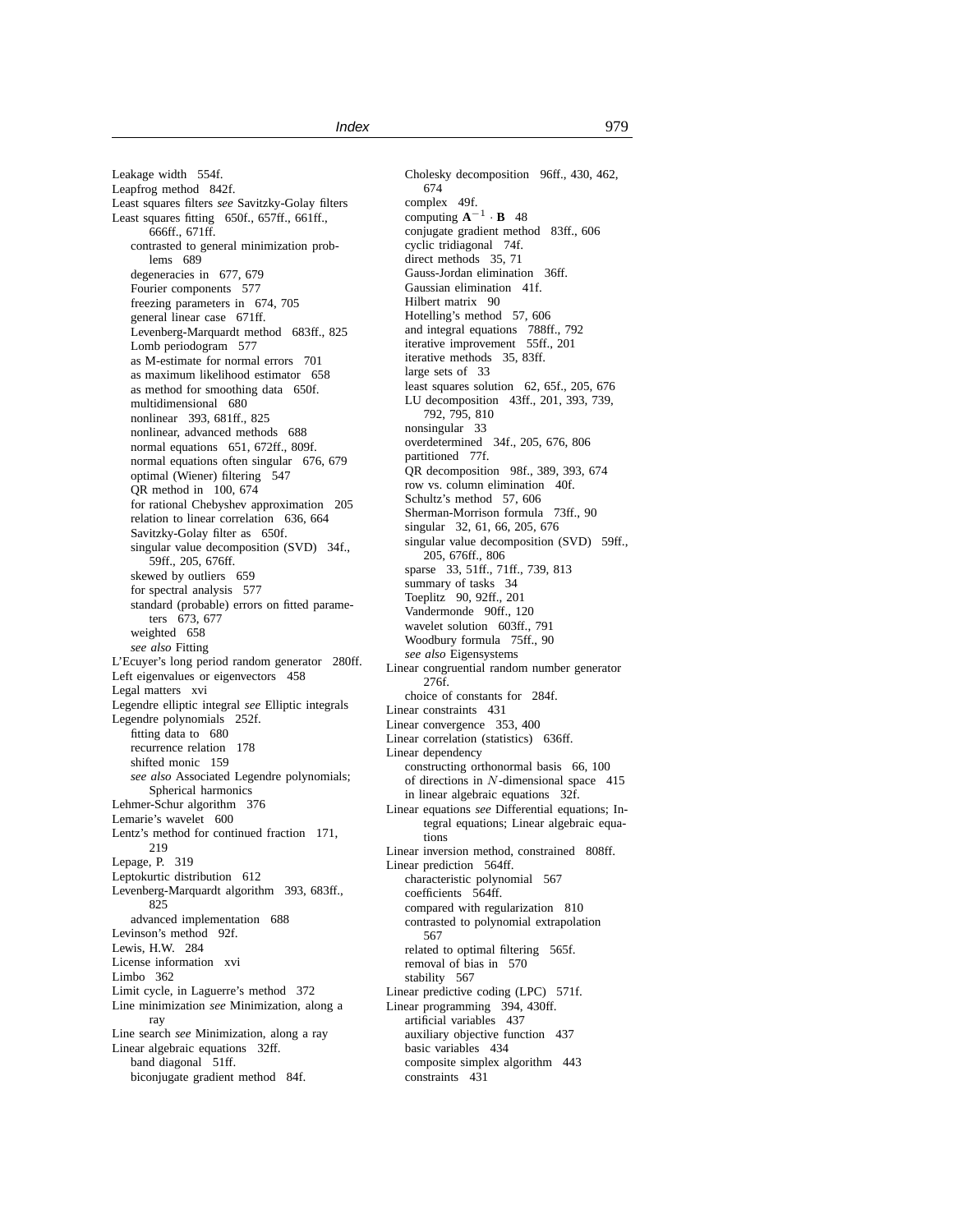Leakage width 554f. Leapfrog method 842f. Least squares filters *see* Savitzky-Golay filters Least squares fitting 650f., 657ff., 661ff., 666ff., 671ff. contrasted to general minimization problems 689 degeneracies in 677, 679 Fourier components 577 freezing parameters in 674, 705 general linear case 671ff. Levenberg-Marquardt method 683ff., 825 Lomb periodogram 577 as M-estimate for normal errors 701 as maximum likelihood estimator 658 as method for smoothing data 650f. multidimensional 680 nonlinear 393, 681ff., 825 nonlinear, advanced methods 688 normal equations 651, 672ff., 809f. normal equations often singular 676, 679 optimal (Wiener) filtering 547 QR method in 100, 674 for rational Chebyshev approximation 205 relation to linear correlation 636, 664 Savitzky-Golay filter as 650f. singular value decomposition (SVD) 34f., 59ff., 205, 676ff. skewed by outliers 659 for spectral analysis 577 standard (probable) errors on fitted parameters 673, 677 weighted 658 *see also* Fitting L'Ecuyer's long period random generator 280ff. Left eigenvalues or eigenvectors 458 Legal matters xvi Legendre elliptic integral *see* Elliptic integrals Legendre polynomials 252f. fitting data to 680 recurrence relation 178 shifted monic 159 *see also* Associated Legendre polynomials; Spherical harmonics Lehmer-Schur algorithm 376 Lemarie's wavelet 600 Lentz's method for continued fraction 171, 219 Lepage, P. 319 Leptokurtic distribution 612 Levenberg-Marquardt algorithm 393, 683ff., 825 advanced implementation 688 Levinson's method 92f. Lewis, H.W. 284 License information xvi Limbo 362 Limit cycle, in Laguerre's method 372 Line minimization *see* Minimization, along a ray Line search *see* Minimization, along a ray Linear algebraic equations 32ff. band diagonal 51ff. biconjugate gradient method 84f.

Cholesky decomposition 96ff., 430, 462, 674 complex 49f. computing  $A^{-1} \cdot B$  48 conjugate gradient method 83ff., 606 cyclic tridiagonal 74f. direct methods 35, 71 Gauss-Jordan elimination 36ff. Gaussian elimination 41f. Hilbert matrix 90 Hotelling's method 57, 606 and integral equations 788ff., 792 iterative improvement 55ff., 201 iterative methods 35, 83ff. large sets of 33 least squares solution 62, 65f., 205, 676 LU decomposition 43ff., 201, 393, 739, 792, 795, 810 nonsingular 33 overdetermined 34f., 205, 676, 806 partitioned 77f. QR decomposition 98f., 389, 393, 674 row vs. column elimination 40f. Schultz's method 57, 606 Sherman-Morrison formula 73ff., 90 singular 32, 61, 66, 205, 676 singular value decomposition (SVD) 59ff., 205, 676ff., 806 sparse 33, 51ff., 71ff., 739, 813 summary of tasks 34 Toeplitz 90, 92ff., 201 Vandermonde 90ff., 120 wavelet solution 603ff., 791 Woodbury formula 75ff., 90 *see also* Eigensystems Linear congruential random number generator 276f. choice of constants for 284f. Linear constraints 431 Linear convergence 353, 400 Linear correlation (statistics) 636ff. Linear dependency constructing orthonormal basis 66, 100 of directions in N-dimensional space 415 in linear algebraic equations 32f. Linear equations *see* Differential equations; Integral equations; Linear algebraic equations Linear inversion method, constrained 808ff. Linear prediction 564ff. characteristic polynomial 567 coefficients 564ff. compared with regularization 810 contrasted to polynomial extrapolation 567 related to optimal filtering 565f. removal of bias in 570 stability 567 Linear predictive coding (LPC) 571f. Linear programming 394, 430ff. artificial variables 437 auxiliary objective function 437 basic variables 434 composite simplex algorithm 443 constraints 431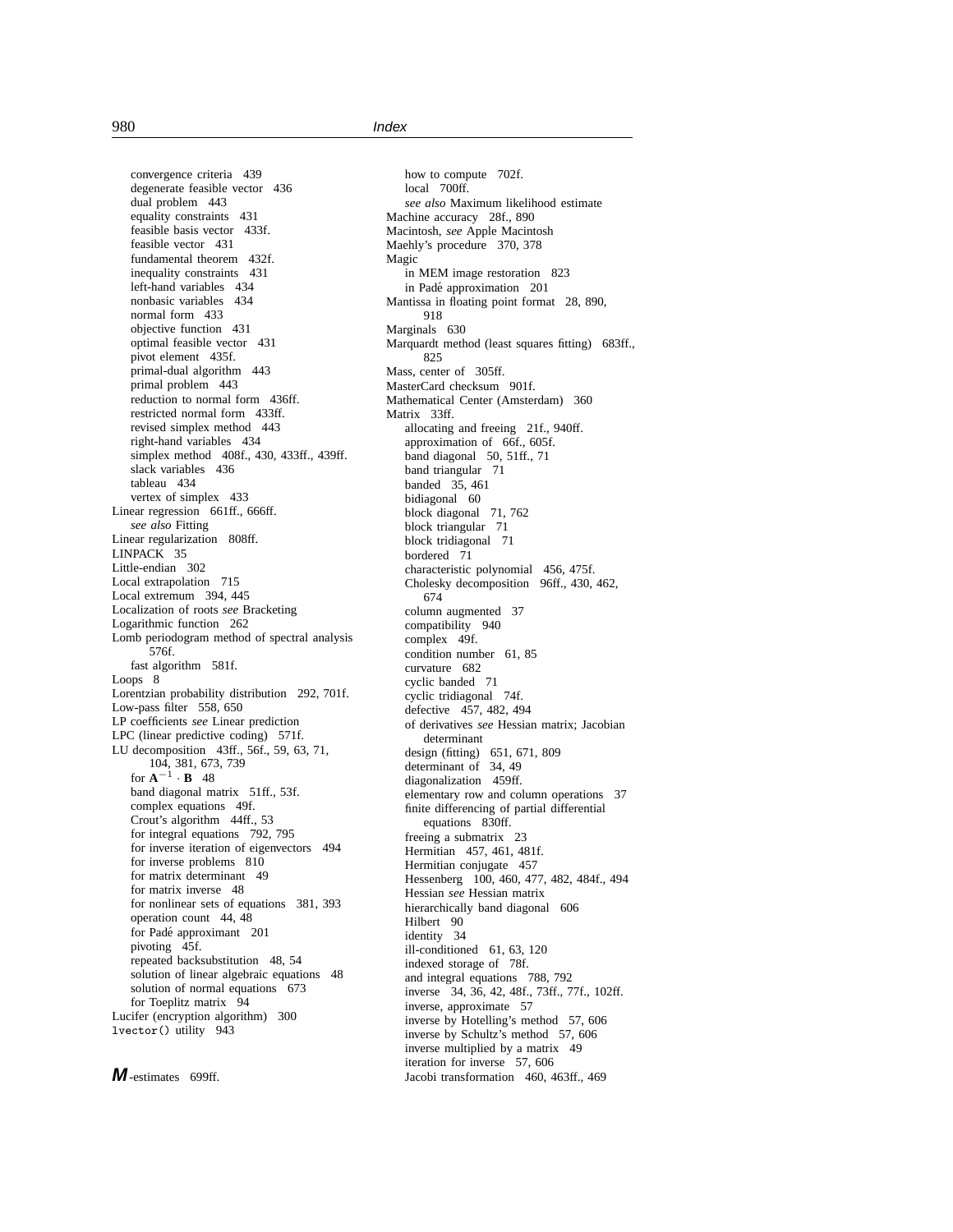convergence criteria 439 degenerate feasible vector 436 dual problem 443 equality constraints 431 feasible basis vector 433f. feasible vector 431 fundamental theorem 432f. inequality constraints 431 left-hand variables 434 nonbasic variables 434 normal form 433 objective function 431 optimal feasible vector 431 pivot element 435f. primal-dual algorithm 443 primal problem 443 reduction to normal form 436ff. restricted normal form 433ff. revised simplex method 443 right-hand variables 434 simplex method 408f., 430, 433ff., 439ff. slack variables 436 tableau 434 vertex of simplex 433 Linear regression 661ff., 666ff. *see also* Fitting Linear regularization 808ff. LINPACK 35 Little-endian 302 Local extrapolation 715 Local extremum 394, 445 Localization of roots *see* Bracketing Logarithmic function 262 Lomb periodogram method of spectral analysis 576f. fast algorithm 581f. Loops<sub>8</sub> Lorentzian probability distribution 292, 701f. Low-pass filter 558, 650 LP coefficients *see* Linear prediction LPC (linear predictive coding) 571f. LU decomposition 43ff., 56f., 59, 63, 71, 104, 381, 673, 739 for  $\mathbf{A}^{-1} \cdot \mathbf{B}$  48 band diagonal matrix 51ff., 53f. complex equations 49f. Crout's algorithm 44ff., 53 for integral equations 792, 795 for inverse iteration of eigenvectors 494 for inverse problems 810 for matrix determinant 49 for matrix inverse 48 for nonlinear sets of equations 381, 393 operation count 44, 48 for Padé approximant 201 pivoting 45f. repeated backsubstitution 48, 54 solution of linear algebraic equations 48 solution of normal equations 673 for Toeplitz matrix 94 Lucifer (encryption algorithm) 300 lvector() utility 943

**M**-estimates 699ff.

how to compute 702f. local 700ff. *see also* Maximum likelihood estimate Machine accuracy 28f., 890 Macintosh, *see* Apple Macintosh Maehly's procedure 370, 378 Magic in MEM image restoration 823 in Padé approximation 201 Mantissa in floating point format 28, 890, 918 Marginals 630 Marquardt method (least squares fitting) 683ff., 825 Mass, center of 305ff. MasterCard checksum 901f. Mathematical Center (Amsterdam) 360 Matrix 33ff. allocating and freeing 21f., 940ff. approximation of 66f., 605f. band diagonal 50, 51ff., 71 band triangular 71 banded 35, 461 bidiagonal 60 block diagonal 71, 762 block triangular 71 block tridiagonal 71 bordered 71 characteristic polynomial 456, 475f. Cholesky decomposition 96ff., 430, 462, 674 column augmented 37 compatibility 940 complex 49f. condition number 61, 85 curvature 682 cyclic banded 71 cyclic tridiagonal 74f. defective 457, 482, 494 of derivatives *see* Hessian matrix; Jacobian determinant design (fitting) 651, 671, 809 determinant of 34, 49 diagonalization 459ff. elementary row and column operations 37 finite differencing of partial differential equations 830ff. freeing a submatrix 23 Hermitian 457, 461, 481f. Hermitian conjugate 457 Hessenberg 100, 460, 477, 482, 484f., 494 Hessian *see* Hessian matrix hierarchically band diagonal 606 Hilbert 90 identity 34 ill-conditioned 61, 63, 120 indexed storage of 78f. and integral equations 788, 792 inverse 34, 36, 42, 48f., 73ff., 77f., 102ff. inverse, approximate 57 inverse by Hotelling's method 57, 606 inverse by Schultz's method 57, 606 inverse multiplied by a matrix 49 iteration for inverse 57, 606 Jacobi transformation 460, 463ff., 469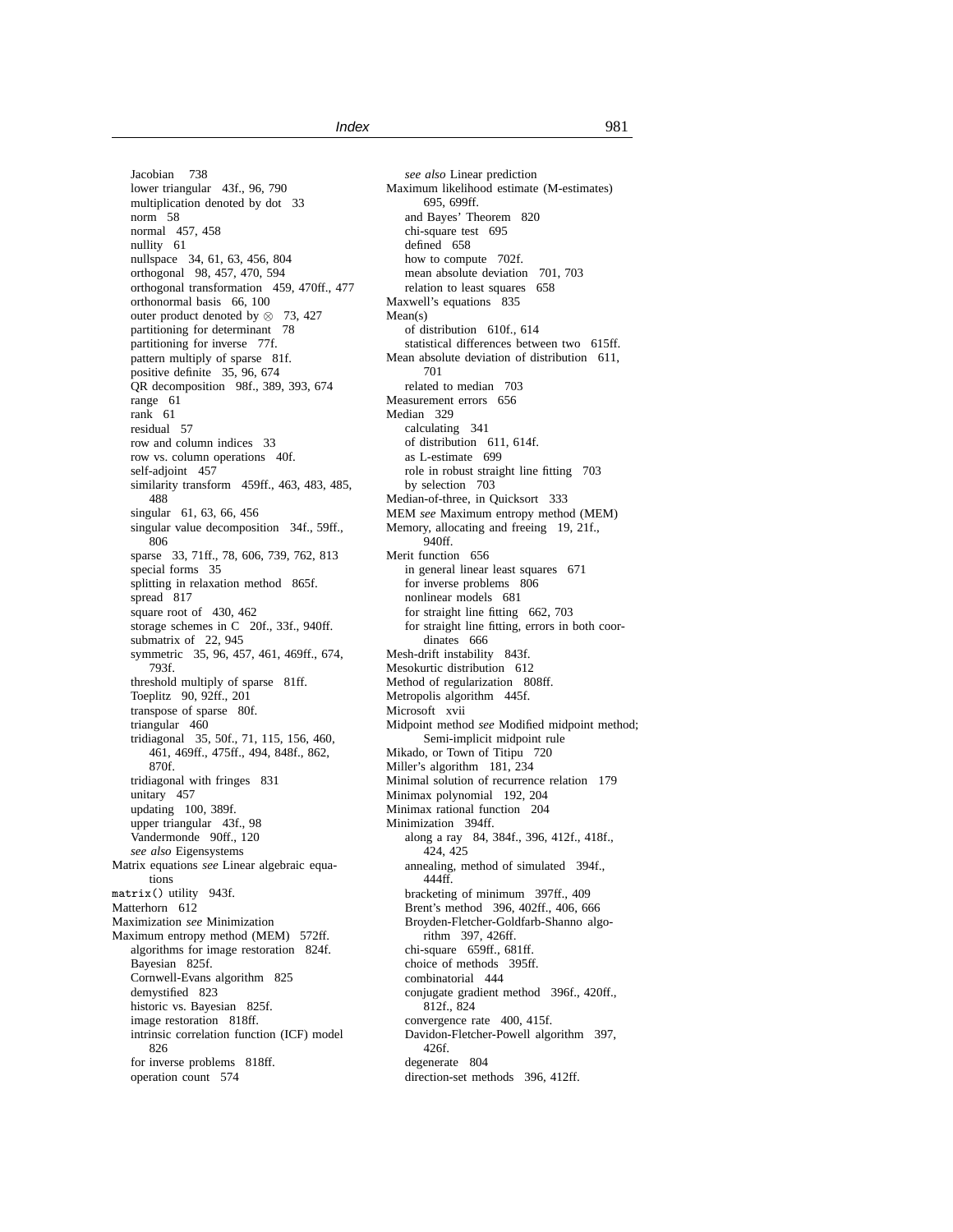Jacobian 738 lower triangular 43f., 96, 790 multiplication denoted by dot 33 norm 58 normal 457, 458 nullity 61 nullspace 34, 61, 63, 456, 804 orthogonal 98, 457, 470, 594 orthogonal transformation 459, 470ff., 477 orthonormal basis 66, 100 outer product denoted by ⊗ 73, 427 partitioning for determinant 78 partitioning for inverse 77f. pattern multiply of sparse 81f. positive definite 35, 96, 674 QR decomposition 98f., 389, 393, 674 range 61 rank 61 residual 57 row and column indices 33 row vs. column operations 40f. self-adjoint 457 similarity transform 459ff., 463, 483, 485, 488 singular 61, 63, 66, 456 singular value decomposition 34f., 59ff., 806 sparse 33, 71ff., 78, 606, 739, 762, 813 special forms 35 splitting in relaxation method 865f. spread 817 square root of 430, 462 storage schemes in C 20f., 33f., 940ff. submatrix of 22, 945 symmetric 35, 96, 457, 461, 469ff., 674, 793f. threshold multiply of sparse 81ff. Toeplitz 90, 92ff., 201 transpose of sparse 80f. triangular 460 tridiagonal 35, 50f., 71, 115, 156, 460, 461, 469ff., 475ff., 494, 848f., 862, 870f. tridiagonal with fringes 831 unitary 457 updating 100, 389f. upper triangular 43f., 98 Vandermonde 90ff., 120 *see also* Eigensystems Matrix equations *see* Linear algebraic equations matrix() utility 943f. Matterhorn 612 Maximization *see* Minimization Maximum entropy method (MEM) 572ff. algorithms for image restoration 824f. Bayesian 825f. Cornwell-Evans algorithm 825 demystified 823 historic vs. Bayesian 825f. image restoration 818ff. intrinsic correlation function (ICF) model 826 for inverse problems 818ff. operation count 574

*see also* Linear prediction Maximum likelihood estimate (M-estimates) 695, 699ff. and Bayes' Theorem 820 chi-square test 695 defined 658 how to compute 702f. mean absolute deviation 701, 703 relation to least squares 658 Maxwell's equations 835 Mean(s) of distribution 610f., 614 statistical differences between two 615ff. Mean absolute deviation of distribution 611, 701 related to median 703 Measurement errors 656 Median 329 calculating 341 of distribution 611, 614f. as L-estimate 699 role in robust straight line fitting 703 by selection 703 Median-of-three, in Quicksort 333 MEM *see* Maximum entropy method (MEM) Memory, allocating and freeing 19, 21f., 940ff. Merit function 656 in general linear least squares 671 for inverse problems 806 nonlinear models 681 for straight line fitting 662, 703 for straight line fitting, errors in both coordinates 666 Mesh-drift instability 843f. Mesokurtic distribution 612 Method of regularization 808ff. Metropolis algorithm 445f. Microsoft xvii Midpoint method *see* Modified midpoint method; Semi-implicit midpoint rule Mikado, or Town of Titipu 720 Miller's algorithm 181, 234 Minimal solution of recurrence relation 179 Minimax polynomial 192, 204 Minimax rational function 204 Minimization 394ff. along a ray 84, 384f., 396, 412f., 418f., 424, 425 annealing, method of simulated 394f., 444ff. bracketing of minimum 397ff., 409 Brent's method 396, 402ff., 406, 666 Broyden-Fletcher-Goldfarb-Shanno algorithm 397, 426ff. chi-square 659ff., 681ff. choice of methods 395ff. combinatorial 444 conjugate gradient method 396f., 420ff., 812f., 824 convergence rate 400, 415f. Davidon-Fletcher-Powell algorithm 397, 426f. degenerate 804 direction-set methods 396, 412ff.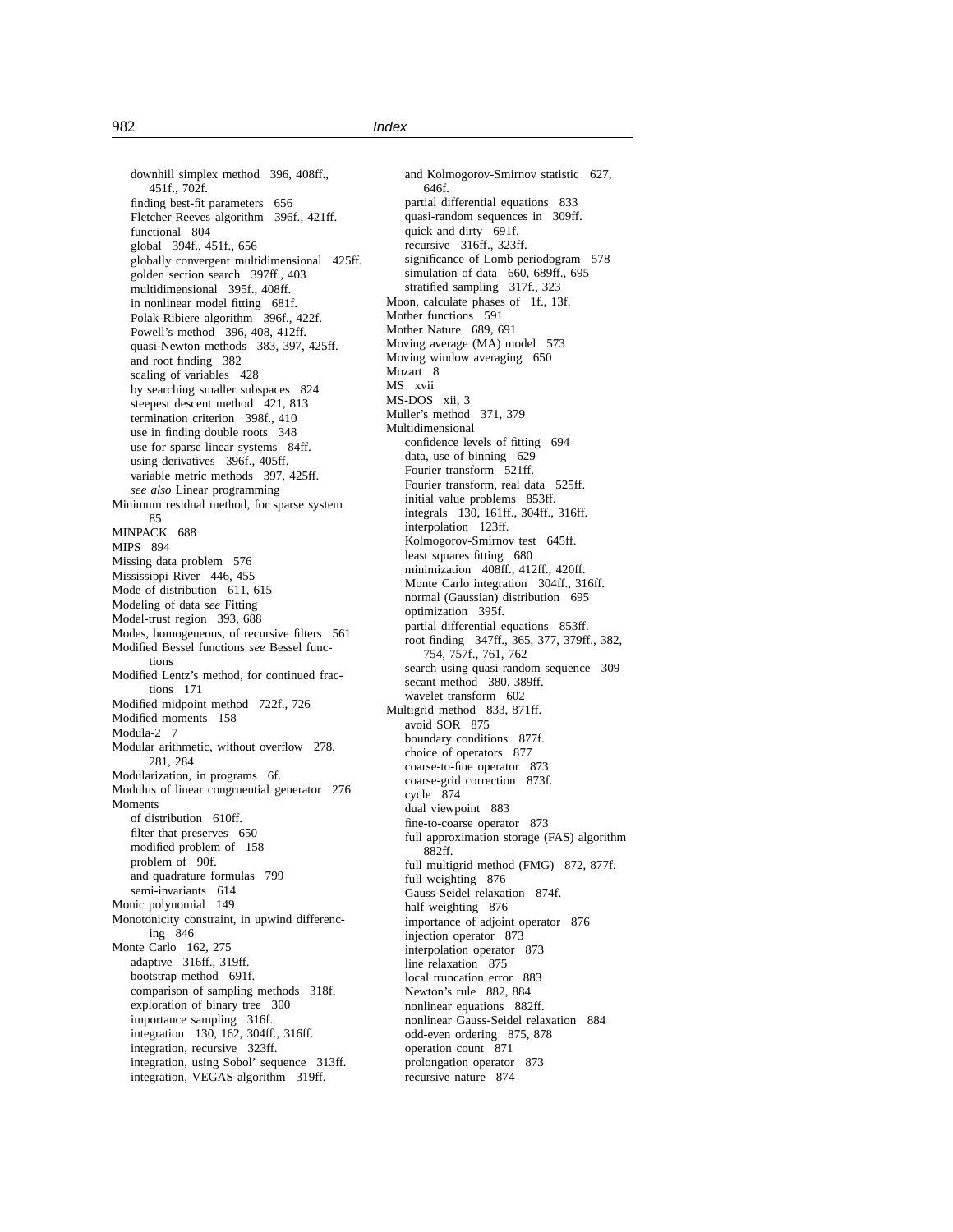downhill simplex method 396, 408ff., 451f., 702f. finding best-fit parameters 656 Fletcher-Reeves algorithm 396f., 421ff. functional 804 global 394f., 451f., 656 globally convergent multidimensional 425ff. golden section search 397ff., 403 multidimensional 395f., 408ff. in nonlinear model fitting 681f. Polak-Ribiere algorithm 396f., 422f. Powell's method 396, 408, 412ff. quasi-Newton methods 383, 397, 425ff. and root finding 382 scaling of variables 428 by searching smaller subspaces 824 steepest descent method 421, 813 termination criterion 398f., 410 use in finding double roots 348 use for sparse linear systems 84ff. using derivatives 396f., 405ff. variable metric methods 397, 425ff. *see also* Linear programming Minimum residual method, for sparse system 85 MINPACK 688 MIPS 894 Missing data problem 576 Mississippi River 446, 455 Mode of distribution 611, 615 Modeling of data *see* Fitting Model-trust region 393, 688 Modes, homogeneous, of recursive filters 561 Modified Bessel functions *see* Bessel functions Modified Lentz's method, for continued fractions 171 Modified midpoint method 722f., 726 Modified moments 158 Modula-2<sub>7</sub> Modular arithmetic, without overflow 278, 281, 284 Modularization, in programs 6f. Modulus of linear congruential generator 276 Moments of distribution 610ff. filter that preserves 650 modified problem of 158 problem of 90f. and quadrature formulas 799 semi-invariants 614 Monic polynomial 149 Monotonicity constraint, in upwind differencing 846 Monte Carlo 162, 275 adaptive 316ff., 319ff. bootstrap method 691f. comparison of sampling methods 318f. exploration of binary tree 300 importance sampling 316f. integration 130, 162, 304ff., 316ff. integration, recursive 323ff. integration, using Sobol' sequence 313ff. integration, VEGAS algorithm 319ff.

and Kolmogorov-Smirnov statistic 627, 646f. partial differential equations 833 quasi-random sequences in 309ff. quick and dirty 691f. recursive 316ff., 323ff. significance of Lomb periodogram 578 simulation of data 660, 689ff., 695 stratified sampling 317f., 323 Moon, calculate phases of 1f., 13f. Mother functions 591 Mother Nature 689, 691 Moving average (MA) model 573 Moving window averaging 650 Mozart<sub>8</sub> MS xvii MS-DOS xii, 3 Muller's method 371, 379 Multidimensional confidence levels of fitting 694 data, use of binning 629 Fourier transform 521ff. Fourier transform, real data 525ff. initial value problems 853ff. integrals 130, 161ff., 304ff., 316ff. interpolation 123ff. Kolmogorov-Smirnov test 645ff. least squares fitting 680 minimization 408ff., 412ff., 420ff. Monte Carlo integration 304ff., 316ff. normal (Gaussian) distribution 695 optimization 395f. partial differential equations 853ff. root finding 347ff., 365, 377, 379ff., 382, 754, 757f., 761, 762 search using quasi-random sequence 309 secant method 380, 389ff. wavelet transform 602 Multigrid method 833, 871ff. avoid SOR 875 boundary conditions 877f. choice of operators 877 coarse-to-fine operator 873 coarse-grid correction 873f. cycle 874 dual viewpoint 883 fine-to-coarse operator 873 full approximation storage (FAS) algorithm 882ff. full multigrid method (FMG) 872, 877f. full weighting 876 Gauss-Seidel relaxation 874f. half weighting 876 importance of adjoint operator 876 injection operator 873 interpolation operator 873 line relaxation 875 local truncation error 883 Newton's rule 882, 884 nonlinear equations 882ff. nonlinear Gauss-Seidel relaxation 884 odd-even ordering 875, 878 operation count 871 prolongation operator 873 recursive nature 874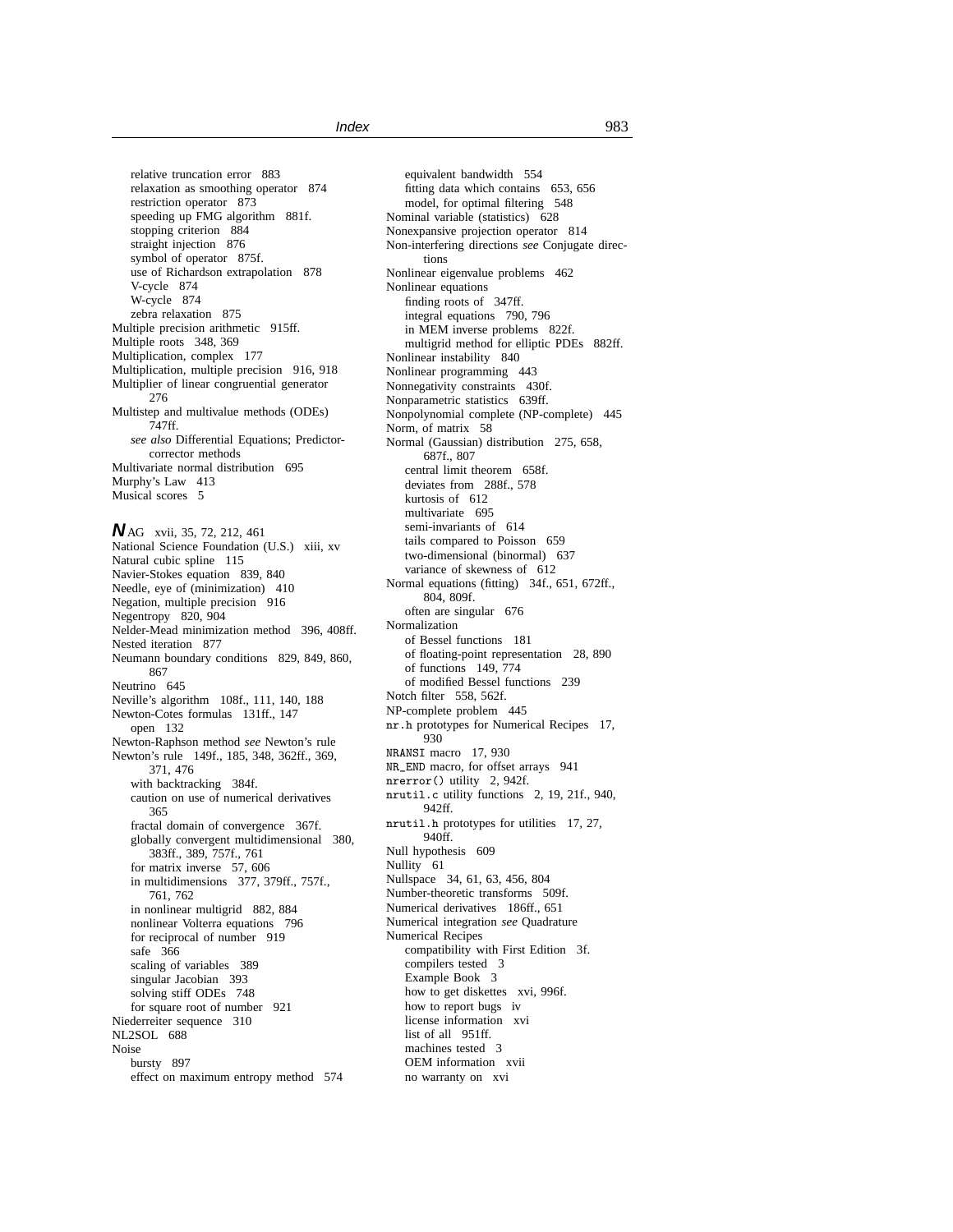relative truncation error 883 relaxation as smoothing operator 874 restriction operator 873 speeding up FMG algorithm 881f. stopping criterion 884 straight injection 876 symbol of operator 875f. use of Richardson extrapolation 878 V-cycle 874 W-cycle 874 zebra relaxation 875 Multiple precision arithmetic 915ff. Multiple roots 348, 369 Multiplication, complex 177 Multiplication, multiple precision 916, 918 Multiplier of linear congruential generator 276 Multistep and multivalue methods (ODEs) 747ff. *see also* Differential Equations; Predictorcorrector methods Multivariate normal distribution 695 Murphy's Law 413 Musical scores 5

**N**AG xvii, 35, 72, 212, 461 National Science Foundation (U.S.) xiii, xv Natural cubic spline 115 Navier-Stokes equation 839, 840 Needle, eye of (minimization) 410 Negation, multiple precision 916 Negentropy 820, 904 Nelder-Mead minimization method 396, 408ff. Nested iteration 877 Neumann boundary conditions 829, 849, 860, 867 Neutrino 645 Neville's algorithm 108f., 111, 140, 188 Newton-Cotes formulas 131ff., 147 open 132 Newton-Raphson method *see* Newton's rule Newton's rule 149f., 185, 348, 362ff., 369, 371, 476 with backtracking 384f. caution on use of numerical derivatives 365 fractal domain of convergence 367f. globally convergent multidimensional 380, 383ff., 389, 757f., 761 for matrix inverse 57, 606 in multidimensions 377, 379ff., 757f., 761, 762 in nonlinear multigrid 882, 884 nonlinear Volterra equations 796 for reciprocal of number 919 safe 366 scaling of variables 389 singular Jacobian 393 solving stiff ODEs 748 for square root of number 921 Niederreiter sequence 310 NL2SOL 688 Noise bursty 897 effect on maximum entropy method 574

equivalent bandwidth 554 fitting data which contains 653, 656 model, for optimal filtering 548 Nominal variable (statistics) 628 Nonexpansive projection operator 814 Non-interfering directions *see* Conjugate directions Nonlinear eigenvalue problems 462 Nonlinear equations finding roots of 347ff. integral equations 790, 796 in MEM inverse problems 822f. multigrid method for elliptic PDEs 882ff. Nonlinear instability 840 Nonlinear programming 443 Nonnegativity constraints 430f. Nonparametric statistics 639ff. Nonpolynomial complete (NP-complete) 445 Norm, of matrix 58 Normal (Gaussian) distribution 275, 658, 687f., 807 central limit theorem 658f. deviates from 288f., 578 kurtosis of 612 multivariate 695 semi-invariants of 614 tails compared to Poisson 659 two-dimensional (binormal) 637 variance of skewness of 612 Normal equations (fitting) 34f., 651, 672ff., 804, 809f. often are singular 676 Normalization of Bessel functions 181 of floating-point representation 28, 890 of functions 149, 774 of modified Bessel functions 239 Notch filter 558, 562f. NP-complete problem 445 nr.h prototypes for Numerical Recipes 17, 930 NRANSI macro 17, 930 NR\_END macro, for offset arrays 941 nrerror() utility 2, 942f. nrutil.c utility functions 2, 19, 21f., 940, 942ff. nrutil.h prototypes for utilities 17, 27, 940ff. Null hypothesis 609 Nullity 61 Nullspace 34, 61, 63, 456, 804 Number-theoretic transforms 509f. Numerical derivatives 186ff., 651 Numerical integration *see* Quadrature Numerical Recipes compatibility with First Edition 3f. compilers tested 3 Example Book 3 how to get diskettes xvi, 996f. how to report bugs iv license information xvi list of all 951ff. machines tested 3 OEM information xvii no warranty on xvi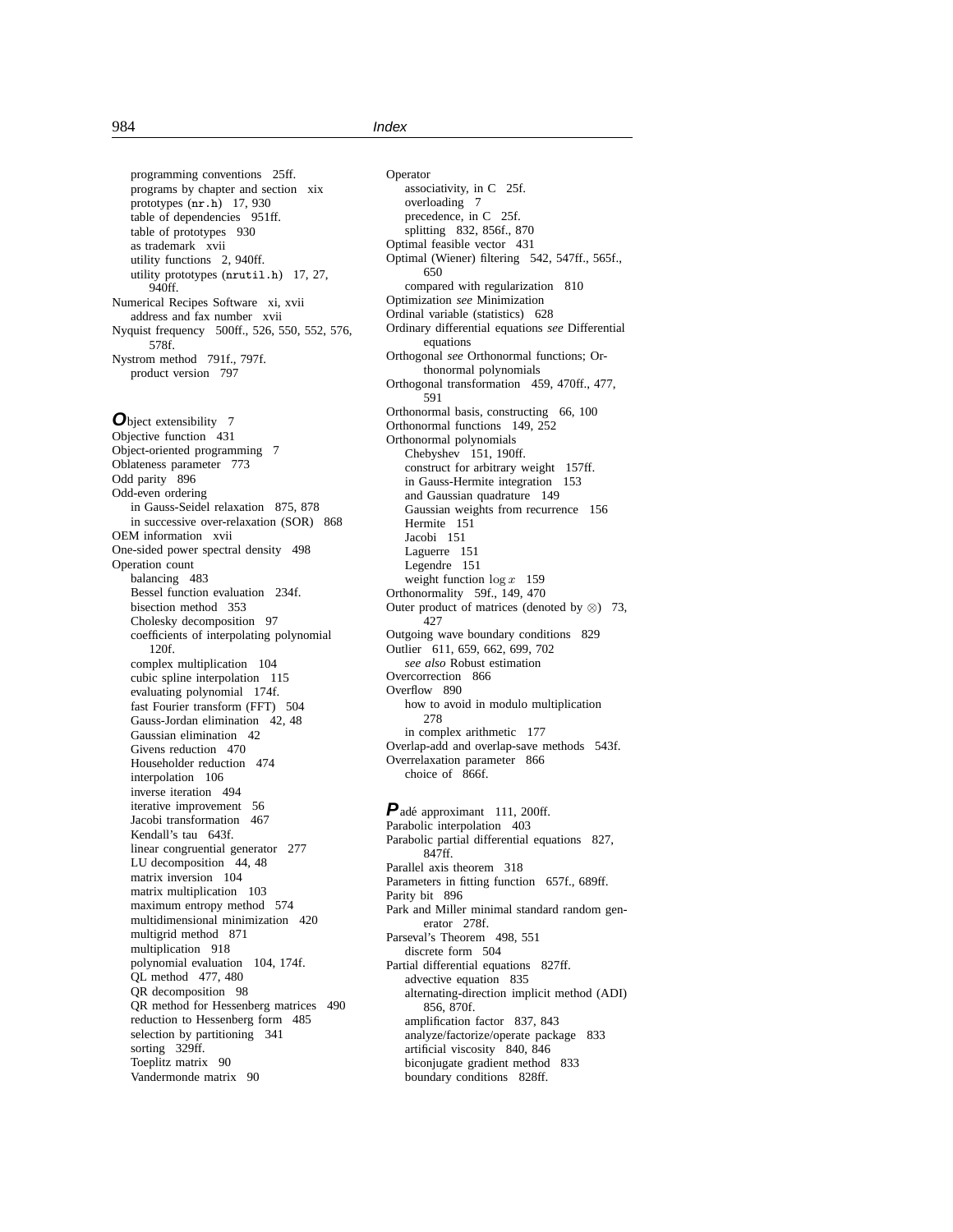programming conventions 25ff. programs by chapter and section xix prototypes (nr.h) 17, 930 table of dependencies 951ff. table of prototypes 930 as trademark xvii utility functions 2, 940ff. utility prototypes (nrutil.h) 17, 27, 940ff. Numerical Recipes Software xi, xvii address and fax number xvii Nyquist frequency 500ff., 526, 550, 552, 576, 578f. Nystrom method 791f., 797f. product version 797

**O**bject extensibility 7 Objective function 431 Object-oriented programming 7 Oblateness parameter 773 Odd parity 896 Odd-even ordering in Gauss-Seidel relaxation 875, 878 in successive over-relaxation (SOR) 868 OEM information xvii One-sided power spectral density 498 Operation count balancing 483 Bessel function evaluation 234f. bisection method 353 Cholesky decomposition 97 coefficients of interpolating polynomial 120f. complex multiplication 104 cubic spline interpolation 115 evaluating polynomial 174f. fast Fourier transform (FFT) 504 Gauss-Jordan elimination 42, 48 Gaussian elimination 42 Givens reduction 470 Householder reduction 474 interpolation 106 inverse iteration 494 iterative improvement 56 Jacobi transformation 467 Kendall's tau 643f. linear congruential generator 277 LU decomposition 44, 48 matrix inversion 104 matrix multiplication 103 maximum entropy method 574 multidimensional minimization 420 multigrid method 871 multiplication 918 polynomial evaluation 104, 174f. QL method 477, 480 QR decomposition 98 QR method for Hessenberg matrices 490 reduction to Hessenberg form 485 selection by partitioning 341 sorting 329ff. Toeplitz matrix 90 Vandermonde matrix 90

Operator associativity, in C 25f. overloading 7 precedence, in C 25f. splitting 832, 856f., 870 Optimal feasible vector 431 Optimal (Wiener) filtering 542, 547ff., 565f., 650 compared with regularization 810 Optimization *see* Minimization Ordinal variable (statistics) 628 Ordinary differential equations *see* Differential equations Orthogonal *see* Orthonormal functions; Orthonormal polynomials Orthogonal transformation 459, 470ff., 477, 591 Orthonormal basis, constructing 66, 100 Orthonormal functions 149, 252 Orthonormal polynomials Chebyshev 151, 190ff. construct for arbitrary weight 157ff. in Gauss-Hermite integration 153 and Gaussian quadrature 149 Gaussian weights from recurrence 156 Hermite 151 Jacobi 151 Laguerre 151 Legendre 151 weight function  $\log x$  159 Orthonormality 59f., 149, 470 Outer product of matrices (denoted by  $\otimes$ ) 73, 427 Outgoing wave boundary conditions 829 Outlier 611, 659, 662, 699, 702 *see also* Robust estimation Overcorrection 866 Overflow 890 how to avoid in modulo multiplication 278 in complex arithmetic 177 Overlap-add and overlap-save methods 543f. Overrelaxation parameter 866 choice of 866f.

Padé approximant 111, 200ff. Parabolic interpolation 403 Parabolic partial differential equations 827, 847ff. Parallel axis theorem 318 Parameters in fitting function 657f., 689ff. Parity bit 896 Park and Miller minimal standard random generator 278f. Parseval's Theorem 498, 551 discrete form 504 Partial differential equations 827ff. advective equation 835 alternating-direction implicit method (ADI) 856, 870f. amplification factor 837, 843 analyze/factorize/operate package 833 artificial viscosity 840, 846 biconjugate gradient method 833 boundary conditions 828ff.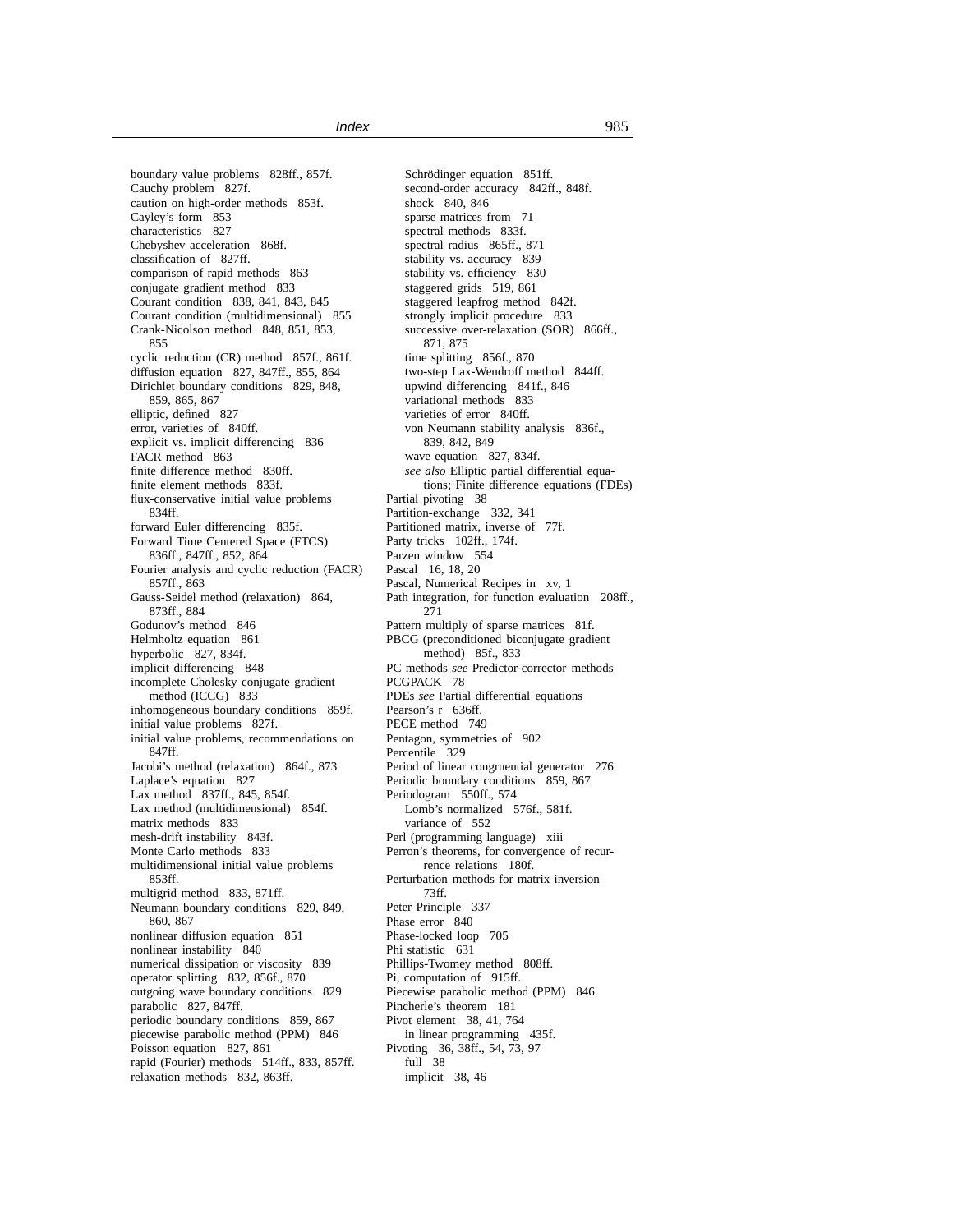boundary value problems 828ff., 857f. Cauchy problem 827f. caution on high-order methods 853f. Cayley's form 853 characteristics 827 Chebyshev acceleration 868f. classification of 827ff. comparison of rapid methods 863 conjugate gradient method 833 Courant condition 838, 841, 843, 845 Courant condition (multidimensional) 855 Crank-Nicolson method 848, 851, 853, 855 cyclic reduction (CR) method 857f., 861f. diffusion equation 827, 847ff., 855, 864 Dirichlet boundary conditions 829, 848, 859, 865, 867 elliptic, defined 827 error, varieties of 840ff. explicit vs. implicit differencing 836 FACR method 863 finite difference method 830ff. finite element methods 833f. flux-conservative initial value problems 834ff. forward Euler differencing 835f. Forward Time Centered Space (FTCS) 836ff., 847ff., 852, 864 Fourier analysis and cyclic reduction (FACR) 857ff., 863 Gauss-Seidel method (relaxation) 864, 873ff., 884 Godunov's method 846 Helmholtz equation 861 hyperbolic 827, 834f. implicit differencing 848 incomplete Cholesky conjugate gradient method (ICCG) 833 inhomogeneous boundary conditions 859f. initial value problems 827f. initial value problems, recommendations on 847ff. Jacobi's method (relaxation) 864f., 873 Laplace's equation 827 Lax method 837ff., 845, 854f. Lax method (multidimensional) 854f. matrix methods 833 mesh-drift instability 843f. Monte Carlo methods 833 multidimensional initial value problems 853ff. multigrid method 833, 871ff. Neumann boundary conditions 829, 849, 860, 867 nonlinear diffusion equation 851 nonlinear instability 840 numerical dissipation or viscosity 839 operator splitting 832, 856f., 870 outgoing wave boundary conditions 829 parabolic 827, 847ff. periodic boundary conditions 859, 867 piecewise parabolic method (PPM) 846 Poisson equation 827, 861 rapid (Fourier) methods 514ff., 833, 857ff. relaxation methods 832, 863ff.

Schrödinger equation 851ff. second-order accuracy 842ff., 848f. shock 840, 846 sparse matrices from 71 spectral methods 833f. spectral radius 865ff., 871 stability vs. accuracy 839 stability vs. efficiency 830 staggered grids 519, 861 staggered leapfrog method 842f. strongly implicit procedure 833 successive over-relaxation (SOR) 866ff., 871, 875 time splitting 856f., 870 two-step Lax-Wendroff method 844ff. upwind differencing 841f., 846 variational methods 833 varieties of error 840ff. von Neumann stability analysis 836f., 839, 842, 849 wave equation 827, 834f. *see also* Elliptic partial differential equations; Finite difference equations (FDEs) Partial pivoting 38 Partition-exchange 332, 341 Partitioned matrix, inverse of 77f. Party tricks 102ff., 174f. Parzen window 554 Pascal 16, 18, 20 Pascal, Numerical Recipes in xv, 1 Path integration, for function evaluation 208ff., 271 Pattern multiply of sparse matrices 81f. PBCG (preconditioned biconjugate gradient method) 85f., 833 PC methods *see* Predictor-corrector methods PCGPACK 78 PDEs *see* Partial differential equations Pearson's r 636ff. PECE method 749 Pentagon, symmetries of 902 Percentile 329 Period of linear congruential generator 276 Periodic boundary conditions 859, 867 Periodogram 550ff., 574 Lomb's normalized 576f., 581f. variance of 552 Perl (programming language) xiii Perron's theorems, for convergence of recurrence relations 180f. Perturbation methods for matrix inversion 73ff. Peter Principle 337 Phase error 840 Phase-locked loop 705 Phi statistic 631 Phillips-Twomey method 808ff. Pi, computation of 915ff. Piecewise parabolic method (PPM) 846 Pincherle's theorem 181 Pivot element 38, 41, 764 in linear programming 435f. Pivoting 36, 38ff., 54, 73, 97 full 38 implicit 38, 46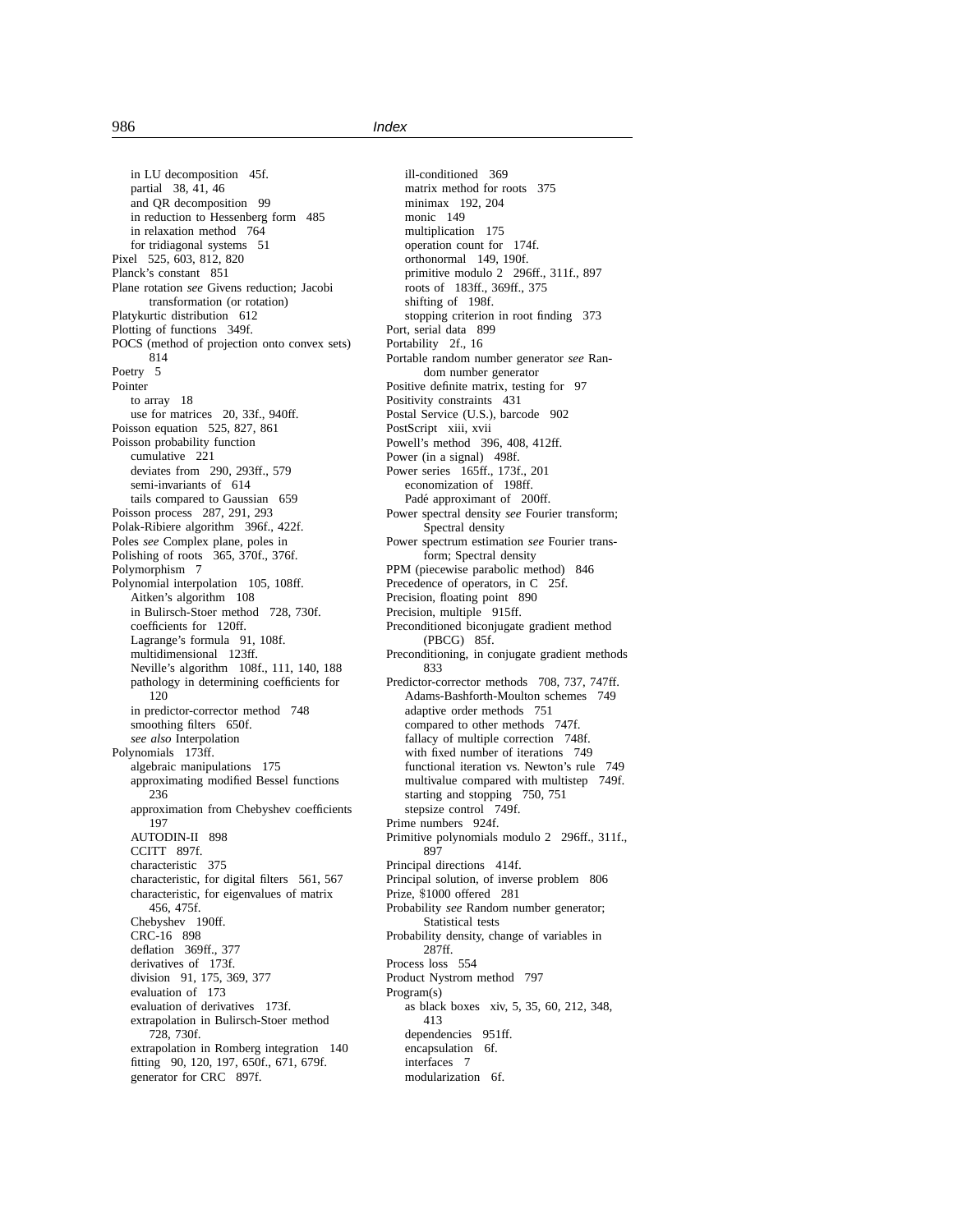in LU decomposition 45f. partial 38, 41, 46 and QR decomposition 99 in reduction to Hessenberg form 485 in relaxation method 764 for tridiagonal systems 51 Pixel 525, 603, 812, 820 Planck's constant 851 Plane rotation *see* Givens reduction; Jacobi transformation (or rotation) Platykurtic distribution 612 Plotting of functions 349f. POCS (method of projection onto convex sets) 814 Poetry 5 Pointer to array 18 use for matrices 20, 33f., 940ff. Poisson equation 525, 827, 861 Poisson probability function cumulative 221 deviates from 290, 293ff., 579 semi-invariants of 614 tails compared to Gaussian 659 Poisson process 287, 291, 293 Polak-Ribiere algorithm 396f., 422f. Poles *see* Complex plane, poles in Polishing of roots 365, 370f., 376f. Polymorphism 7 Polynomial interpolation 105, 108ff. Aitken's algorithm 108 in Bulirsch-Stoer method 728, 730f. coefficients for 120ff. Lagrange's formula 91, 108f. multidimensional 123ff. Neville's algorithm 108f., 111, 140, 188 pathology in determining coefficients for 120 in predictor-corrector method 748 smoothing filters 650f. *see also* Interpolation Polynomials 173ff. algebraic manipulations 175 approximating modified Bessel functions 236 approximation from Chebyshev coefficients 197 AUTODIN-II 898 CCITT 897f. characteristic 375 characteristic, for digital filters 561, 567 characteristic, for eigenvalues of matrix 456, 475f. Chebyshev 190ff. CRC-16 898 deflation 369ff., 377 derivatives of 173f. division 91, 175, 369, 377 evaluation of 173 evaluation of derivatives 173f. extrapolation in Bulirsch-Stoer method 728, 730f. extrapolation in Romberg integration 140 fitting 90, 120, 197, 650f., 671, 679f. generator for CRC 897f.

ill-conditioned 369 matrix method for roots 375 minimax 192, 204 monic 149 multiplication 175 operation count for 174f. orthonormal 149, 190f. primitive modulo 2 296ff., 311f., 897 roots of 183ff., 369ff., 375 shifting of 198f. stopping criterion in root finding 373 Port, serial data 899 Portability 2f., 16 Portable random number generator *see* Random number generator Positive definite matrix, testing for 97 Positivity constraints 431 Postal Service (U.S.), barcode 902 PostScript xiii, xvii Powell's method 396, 408, 412ff. Power (in a signal) 498f. Power series 165ff., 173f., 201 economization of 198ff. Padé approximant of 200ff. Power spectral density *see* Fourier transform; Spectral density Power spectrum estimation *see* Fourier transform; Spectral density PPM (piecewise parabolic method) 846 Precedence of operators, in C 25f. Precision, floating point 890 Precision, multiple 915ff. Preconditioned biconjugate gradient method (PBCG) 85f. Preconditioning, in conjugate gradient methods 833 Predictor-corrector methods 708, 737, 747ff. Adams-Bashforth-Moulton schemes 749 adaptive order methods 751 compared to other methods 747f. fallacy of multiple correction 748f. with fixed number of iterations 749 functional iteration vs. Newton's rule 749 multivalue compared with multistep 749f. starting and stopping 750, 751 stepsize control 749f. Prime numbers 924f. Primitive polynomials modulo 2 296ff., 311f., 897 Principal directions 414f. Principal solution, of inverse problem 806 Prize, \$1000 offered 281 Probability *see* Random number generator; Statistical tests Probability density, change of variables in 287ff. Process loss 554 Product Nystrom method 797 Program(s) as black boxes xiv, 5, 35, 60, 212, 348, 413 dependencies 951ff. encapsulation 6f. interfaces 7 modularization 6f.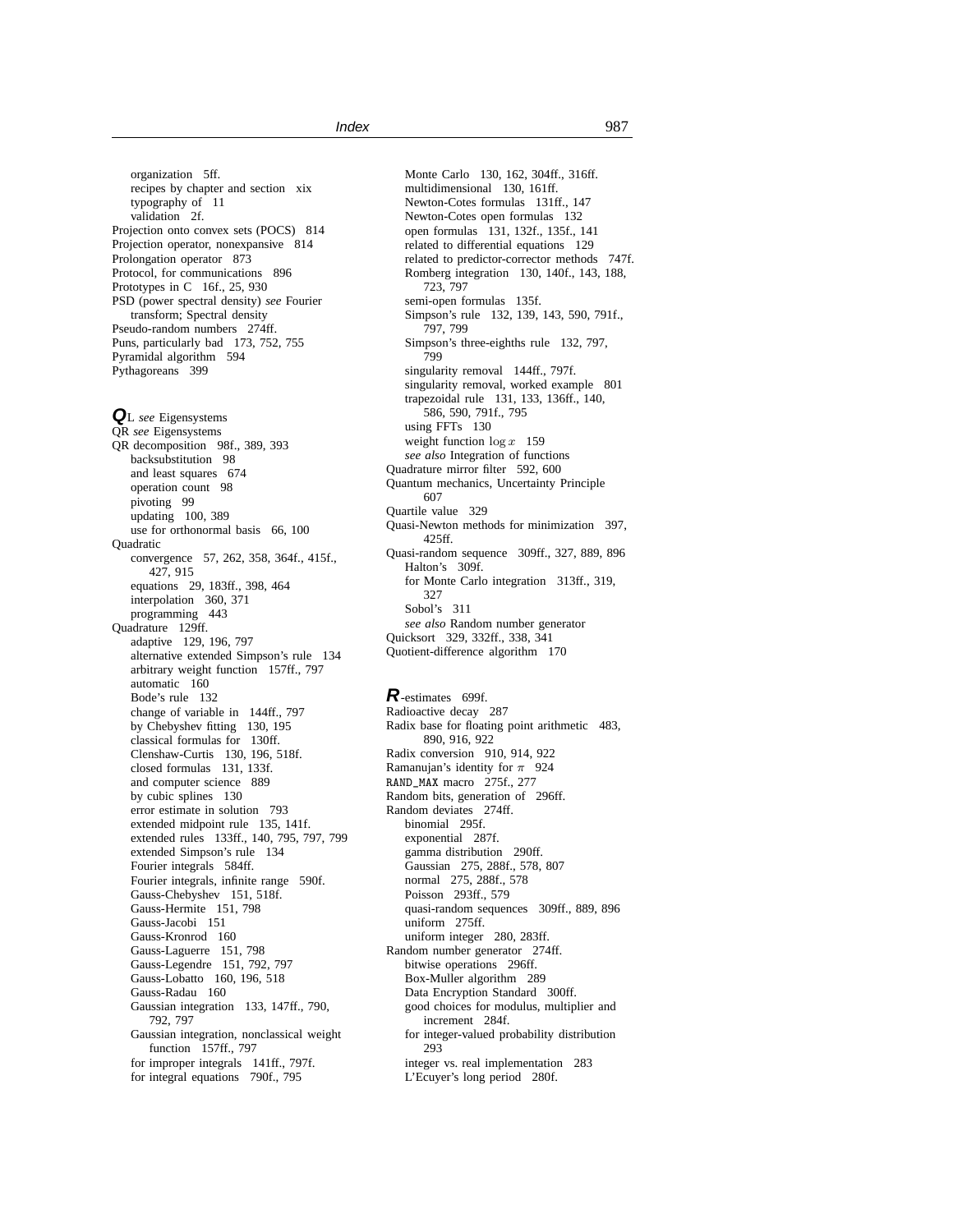organization 5ff. recipes by chapter and section xix typography of 11 validation 2f. Projection onto convex sets (POCS) 814 Projection operator, nonexpansive 814 Prolongation operator 873 Protocol, for communications 896 Prototypes in C 16f., 25, 930 PSD (power spectral density) *see* Fourier transform; Spectral density Pseudo-random numbers 274ff. Puns, particularly bad 173, 752, 755 Pyramidal algorithm 594 Pythagoreans 399

**Q**<sup>L</sup> *see* Eigensystems QR *see* Eigensystems QR decomposition 98f., 389, 393 backsubstitution 98 and least squares 674 operation count 98 pivoting 99 updating 100, 389 use for orthonormal basis 66, 100 **Ouadratic** convergence 57, 262, 358, 364f., 415f., 427, 915 equations 29, 183ff., 398, 464 interpolation 360, 371 programming 443 Quadrature 129ff. adaptive 129, 196, 797 alternative extended Simpson's rule 134 arbitrary weight function 157ff., 797 automatic 160 Bode's rule 132 change of variable in 144ff., 797 by Chebyshev fitting 130, 195 classical formulas for 130ff. Clenshaw-Curtis 130, 196, 518f. closed formulas 131, 133f. and computer science 889 by cubic splines 130 error estimate in solution 793 extended midpoint rule 135, 141f. extended rules 133ff., 140, 795, 797, 799 extended Simpson's rule 134 Fourier integrals 584ff. Fourier integrals, infinite range 590f. Gauss-Chebyshev 151, 518f. Gauss-Hermite 151, 798 Gauss-Jacobi 151 Gauss-Kronrod 160 Gauss-Laguerre 151, 798 Gauss-Legendre 151, 792, 797 Gauss-Lobatto 160, 196, 518 Gauss-Radau 160 Gaussian integration 133, 147ff., 790, 792, 797 Gaussian integration, nonclassical weight function 157ff., 797 for improper integrals 141ff., 797f. for integral equations 790f., 795

Monte Carlo 130, 162, 304ff., 316ff. multidimensional 130, 161ff. Newton-Cotes formulas 131ff., 147 Newton-Cotes open formulas 132 open formulas 131, 132f., 135f., 141 related to differential equations 129 related to predictor-corrector methods 747f. Romberg integration 130, 140f., 143, 188, 723, 797 semi-open formulas 135f. Simpson's rule 132, 139, 143, 590, 791f., 797, 799 Simpson's three-eighths rule 132, 797, 799 singularity removal 144ff., 797f. singularity removal, worked example 801 trapezoidal rule 131, 133, 136ff., 140, 586, 590, 791f., 795 using FFTs 130 weight function  $\log x$  159 *see also* Integration of functions Quadrature mirror filter 592, 600 Quantum mechanics, Uncertainty Principle 607 Quartile value 329 Quasi-Newton methods for minimization 397, 425ff. Quasi-random sequence 309ff., 327, 889, 896 Halton's 309f. for Monte Carlo integration 313ff., 319, 327 Sobol's 311 *see also* Random number generator Quicksort 329, 332ff., 338, 341 Quotient-difference algorithm 170

**R**-estimates 699f. Radioactive decay 287 Radix base for floating point arithmetic 483, 890, 916, 922 Radix conversion 910, 914, 922 Ramanujan's identity for  $\pi$  924 RAND\_MAX macro 275f., 277 Random bits, generation of 296ff. Random deviates 274ff. binomial 295f. exponential 287f. gamma distribution 290ff. Gaussian 275, 288f., 578, 807 normal 275, 288f., 578 Poisson 293ff., 579 quasi-random sequences 309ff., 889, 896 uniform 275ff. uniform integer 280, 283ff. Random number generator 274ff. bitwise operations 296ff. Box-Muller algorithm 289 Data Encryption Standard 300ff. good choices for modulus, multiplier and increment 284f. for integer-valued probability distribution 293 integer vs. real implementation 283 L'Ecuyer's long period 280f.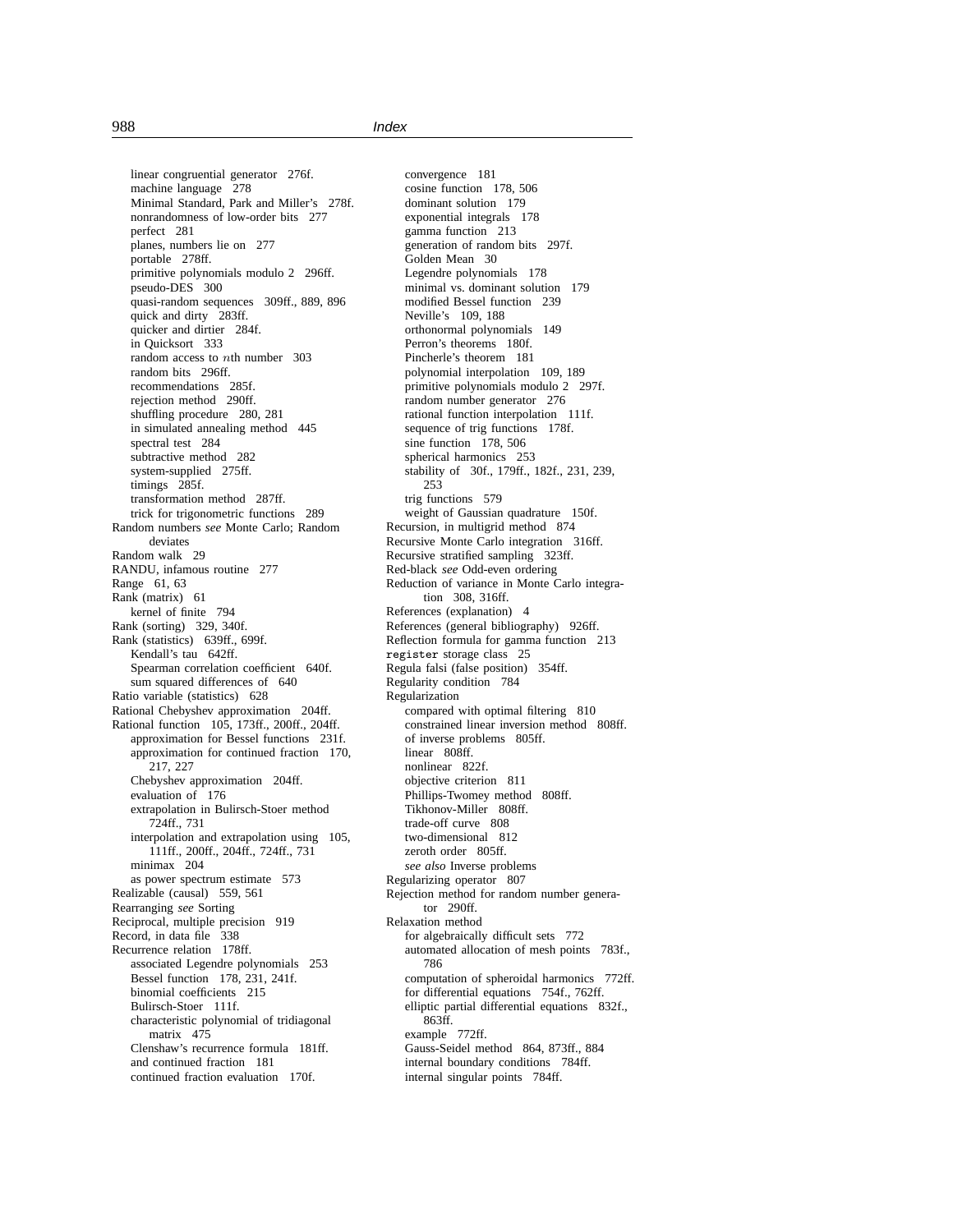linear congruential generator 276f. machine language 278 Minimal Standard, Park and Miller's 278f. nonrandomness of low-order bits 277 perfect 281 planes, numbers lie on 277 portable 278ff. primitive polynomials modulo 2 296ff. pseudo-DES 300 quasi-random sequences 309ff., 889, 896 quick and dirty 283ff. quicker and dirtier 284f. in Quicksort 333 random access to nth number 303 random bits 296ff. recommendations 285f. rejection method 290ff. shuffling procedure 280, 281 in simulated annealing method 445 spectral test 284 subtractive method 282 system-supplied 275ff. timings 285f. transformation method 287ff. trick for trigonometric functions 289 Random numbers *see* Monte Carlo; Random deviates Random walk 29 RANDU, infamous routine 277 Range 61, 63 Rank (matrix) 61 kernel of finite 794 Rank (sorting) 329, 340f. Rank (statistics) 639ff., 699f. Kendall's tau 642ff. Spearman correlation coefficient 640f. sum squared differences of 640 Ratio variable (statistics) 628 Rational Chebyshev approximation 204ff. Rational function 105, 173ff., 200ff., 204ff. approximation for Bessel functions 231f. approximation for continued fraction 170, 217, 227 Chebyshev approximation 204ff. evaluation of 176 extrapolation in Bulirsch-Stoer method 724ff., 731 interpolation and extrapolation using 105, 111ff., 200ff., 204ff., 724ff., 731 minimax 204 as power spectrum estimate 573 Realizable (causal) 559, 561 Rearranging *see* Sorting Reciprocal, multiple precision 919 Record, in data file 338 Recurrence relation 178ff. associated Legendre polynomials 253 Bessel function 178, 231, 241f. binomial coefficients 215 Bulirsch-Stoer 111f. characteristic polynomial of tridiagonal matrix 475 Clenshaw's recurrence formula 181ff. and continued fraction 181 continued fraction evaluation 170f.

convergence 181 cosine function 178, 506 dominant solution 179 exponential integrals 178 gamma function 213 generation of random bits 297f. Golden Mean 30 Legendre polynomials 178 minimal vs. dominant solution 179 modified Bessel function 239 Neville's 109, 188 orthonormal polynomials 149 Perron's theorems 180f. Pincherle's theorem 181 polynomial interpolation 109, 189 primitive polynomials modulo 2 297f. random number generator 276 rational function interpolation 111f. sequence of trig functions 178f. sine function 178, 506 spherical harmonics 253 stability of 30f., 179ff., 182f., 231, 239, 253 trig functions 579 weight of Gaussian quadrature 150f. Recursion, in multigrid method 874 Recursive Monte Carlo integration 316ff. Recursive stratified sampling 323ff. Red-black *see* Odd-even ordering Reduction of variance in Monte Carlo integration 308, 316ff. References (explanation) 4 References (general bibliography) 926ff. Reflection formula for gamma function 213 register storage class 25 Regula falsi (false position) 354ff. Regularity condition 784 Regularization compared with optimal filtering 810 constrained linear inversion method 808ff. of inverse problems 805ff. linear 808ff. nonlinear 822f. objective criterion 811 Phillips-Twomey method 808ff. Tikhonov-Miller 808ff. trade-off curve 808 two-dimensional 812 zeroth order 805ff. *see also* Inverse problems Regularizing operator 807 Rejection method for random number generator 290ff. Relaxation method for algebraically difficult sets 772 automated allocation of mesh points 783f., 786 computation of spheroidal harmonics 772ff. for differential equations 754f., 762ff. elliptic partial differential equations 832f., 863ff. example 772ff. Gauss-Seidel method 864, 873ff., 884 internal boundary conditions 784ff. internal singular points 784ff.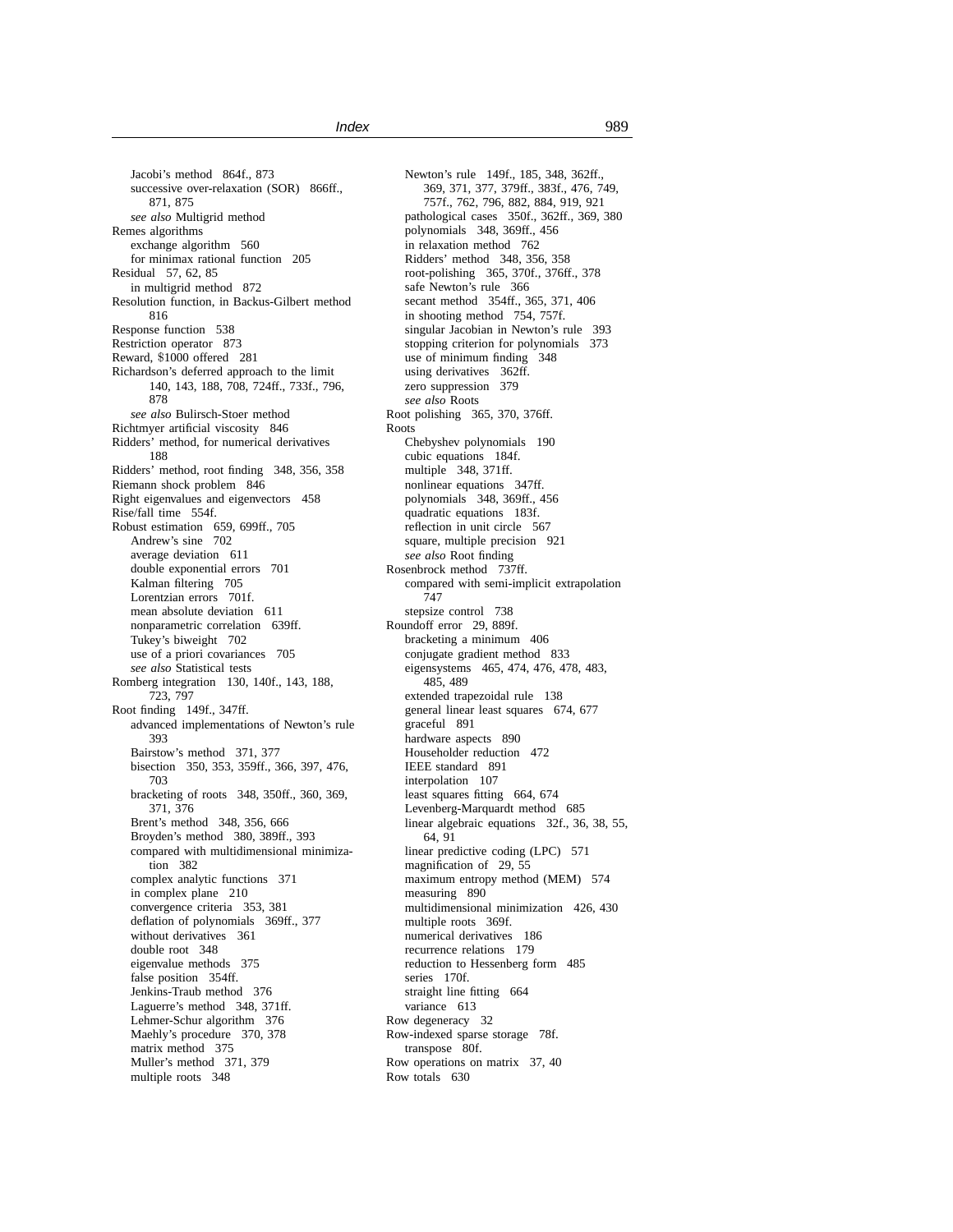Jacobi's method 864f., 873 successive over-relaxation (SOR) 866ff., 871, 875 *see also* Multigrid method Remes algorithms exchange algorithm 560 for minimax rational function 205 Residual 57, 62, 85 in multigrid method 872 Resolution function, in Backus-Gilbert method 816 Response function 538 Restriction operator 873 Reward, \$1000 offered 281 Richardson's deferred approach to the limit 140, 143, 188, 708, 724ff., 733f., 796, 878 *see also* Bulirsch-Stoer method Richtmyer artificial viscosity 846 Ridders' method, for numerical derivatives 188 Ridders' method, root finding 348, 356, 358 Riemann shock problem 846 Right eigenvalues and eigenvectors 458 Rise/fall time 554f. Robust estimation 659, 699ff., 705 Andrew's sine 702 average deviation 611 double exponential errors 701 Kalman filtering 705 Lorentzian errors 701f. mean absolute deviation 611 nonparametric correlation 639ff. Tukey's biweight 702 use of a priori covariances 705 *see also* Statistical tests Romberg integration 130, 140f., 143, 188, 723, 797 Root finding 149f., 347ff. advanced implementations of Newton's rule 393 Bairstow's method 371, 377 bisection 350, 353, 359ff., 366, 397, 476, 703 bracketing of roots 348, 350ff., 360, 369, 371, 376 Brent's method 348, 356, 666 Broyden's method 380, 389ff., 393 compared with multidimensional minimization 382 complex analytic functions 371 in complex plane 210 convergence criteria 353, 381 deflation of polynomials 369ff., 377 without derivatives 361 double root 348 eigenvalue methods 375 false position 354ff. Jenkins-Traub method 376 Laguerre's method 348, 371ff. Lehmer-Schur algorithm 376 Maehly's procedure 370, 378 matrix method 375 Muller's method 371, 379 multiple roots 348

Newton's rule 149f., 185, 348, 362ff., 369, 371, 377, 379ff., 383f., 476, 749, 757f., 762, 796, 882, 884, 919, 921 pathological cases 350f., 362ff., 369, 380 polynomials 348, 369ff., 456 in relaxation method 762 Ridders' method 348, 356, 358 root-polishing 365, 370f., 376ff., 378 safe Newton's rule 366 secant method 354ff., 365, 371, 406 in shooting method 754, 757f. singular Jacobian in Newton's rule 393 stopping criterion for polynomials 373 use of minimum finding 348 using derivatives 362ff. zero suppression 379 *see also* Roots Root polishing 365, 370, 376ff. Roots Chebyshev polynomials 190 cubic equations 184f. multiple 348, 371ff. nonlinear equations 347ff. polynomials 348, 369ff., 456 quadratic equations 183f. reflection in unit circle 567 square, multiple precision 921 *see also* Root finding Rosenbrock method 737ff. compared with semi-implicit extrapolation 747 stepsize control 738 Roundoff error 29, 889f. bracketing a minimum 406 conjugate gradient method 833 eigensystems 465, 474, 476, 478, 483, 485, 489 extended trapezoidal rule 138 general linear least squares 674, 677 graceful 891 hardware aspects 890 Householder reduction 472 IEEE standard 891 interpolation 107 least squares fitting 664, 674 Levenberg-Marquardt method 685 linear algebraic equations 32f., 36, 38, 55, 64, 91 linear predictive coding (LPC) 571 magnification of 29, 55 maximum entropy method (MEM) 574 measuring 890 multidimensional minimization 426, 430 multiple roots 369f. numerical derivatives 186 recurrence relations 179 reduction to Hessenberg form 485 series 170f. straight line fitting 664 variance 613 Row degeneracy 32 Row-indexed sparse storage 78f. transpose 80f. Row operations on matrix 37, 40 Row totals 630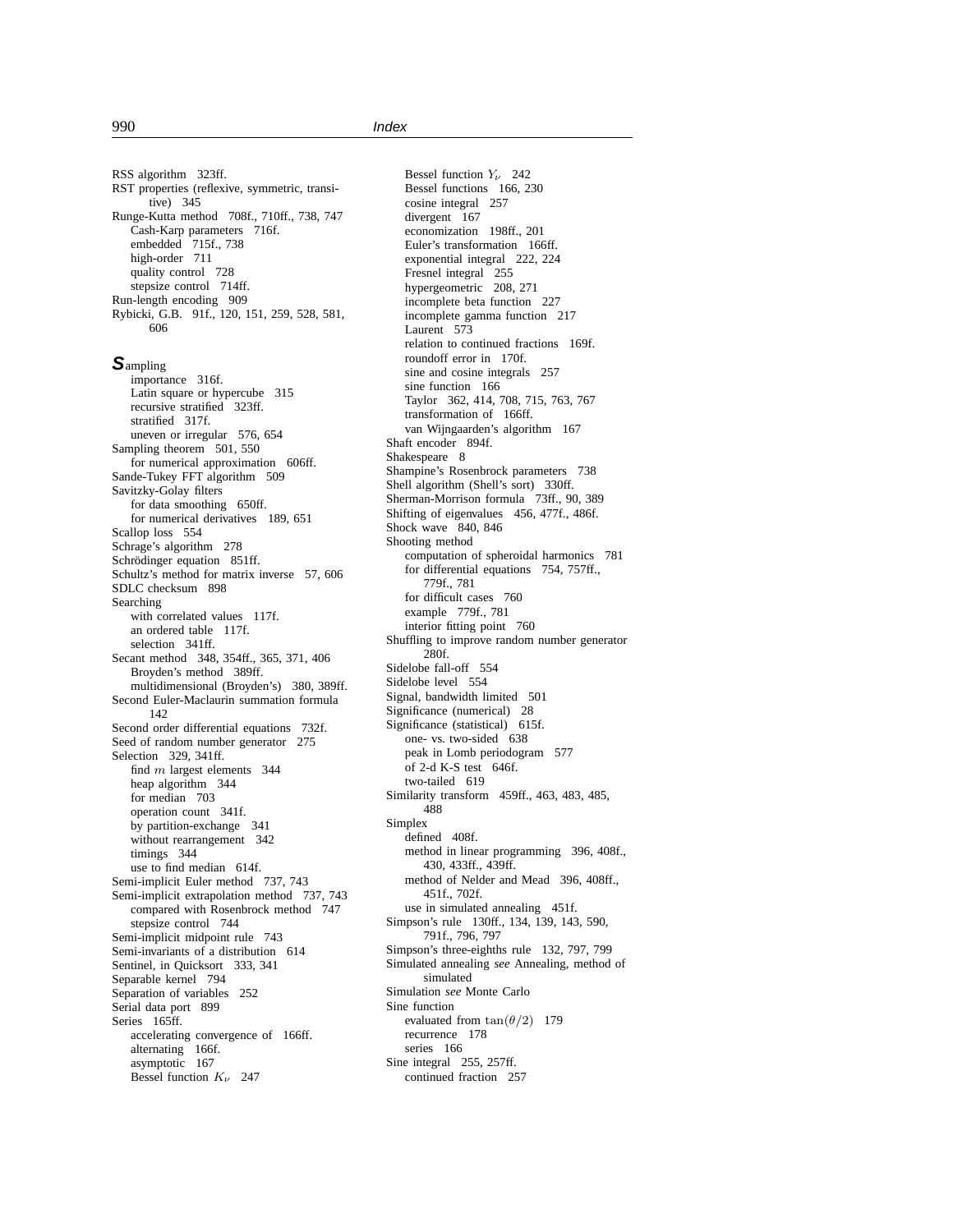RSS algorithm 323ff. RST properties (reflexive, symmetric, transitive) 345 Runge-Kutta method 708f., 710ff., 738, 747 Cash-Karp parameters 716f. embedded 715f., 738 high-order 711 quality control 728 stepsize control 714ff. Run-length encoding 909 Rybicki, G.B. 91f., 120, 151, 259, 528, 581, 606

**S**ampling

importance 316f. Latin square or hypercube 315 recursive stratified 323ff. stratified 317f. uneven or irregular 576, 654 Sampling theorem 501, 550 for numerical approximation 606ff. Sande-Tukey FFT algorithm 509 Savitzky-Golay filters for data smoothing 650ff. for numerical derivatives 189, 651 Scallop loss 554 Schrage's algorithm 278 Schrödinger equation 851ff. Schultz's method for matrix inverse 57, 606 SDLC checksum 898 Searching with correlated values 117f. an ordered table 117f. selection 341ff. Secant method 348, 354ff., 365, 371, 406 Broyden's method 389ff. multidimensional (Broyden's) 380, 389ff. Second Euler-Maclaurin summation formula 142 Second order differential equations 732f. Seed of random number generator 275 Selection 329, 341ff. find  $m$  largest elements 344 heap algorithm 344 for median 703 operation count 341f. by partition-exchange 341 without rearrangement 342 timings 344 use to find median 614f. Semi-implicit Euler method 737, 743 Semi-implicit extrapolation method 737, 743 compared with Rosenbrock method 747 stepsize control 744 Semi-implicit midpoint rule 743 Semi-invariants of a distribution 614 Sentinel, in Quicksort 333, 341 Separable kernel 794 Separation of variables 252 Serial data port 899 Series 165ff. accelerating convergence of 166ff. alternating 166f. asymptotic 167 Bessel function  $K_v$  247

Bessel function  $Y_\nu$  242 Bessel functions 166, 230 cosine integral 257 divergent 167 economization 198ff., 201 Euler's transformation 166ff. exponential integral 222, 224 Fresnel integral 255 hypergeometric 208, 271 incomplete beta function 227 incomplete gamma function 217 Laurent 573 relation to continued fractions 169f. roundoff error in 170f. sine and cosine integrals 257 sine function 166 Taylor 362, 414, 708, 715, 763, 767 transformation of 166ff. van Wijngaarden's algorithm 167 Shaft encoder 894f. Shakespeare 8 Shampine's Rosenbrock parameters 738 Shell algorithm (Shell's sort) 330ff. Sherman-Morrison formula 73ff., 90, 389 Shifting of eigenvalues 456, 477f., 486f. Shock wave 840, 846 Shooting method computation of spheroidal harmonics 781 for differential equations 754, 757ff., 779f., 781 for difficult cases 760 example 779f., 781 interior fitting point 760 Shuffling to improve random number generator 280f. Sidelobe fall-off 554 Sidelobe level 554 Signal, bandwidth limited 501 Significance (numerical) 28 Significance (statistical) 615f. one- vs. two-sided 638 peak in Lomb periodogram 577 of 2-d K-S test 646f. two-tailed 619 Similarity transform 459ff., 463, 483, 485, 488 Simplex defined 408f. method in linear programming 396, 408f., 430, 433ff., 439ff. method of Nelder and Mead 396, 408ff., 451f., 702f. use in simulated annealing 451f. Simpson's rule 130ff., 134, 139, 143, 590, 791f., 796, 797 Simpson's three-eighths rule 132, 797, 799 Simulated annealing *see* Annealing, method of simulated Simulation *see* Monte Carlo Sine function evaluated from  $tan(\theta/2)$  179 recurrence 178 series 166 Sine integral 255, 257ff. continued fraction 257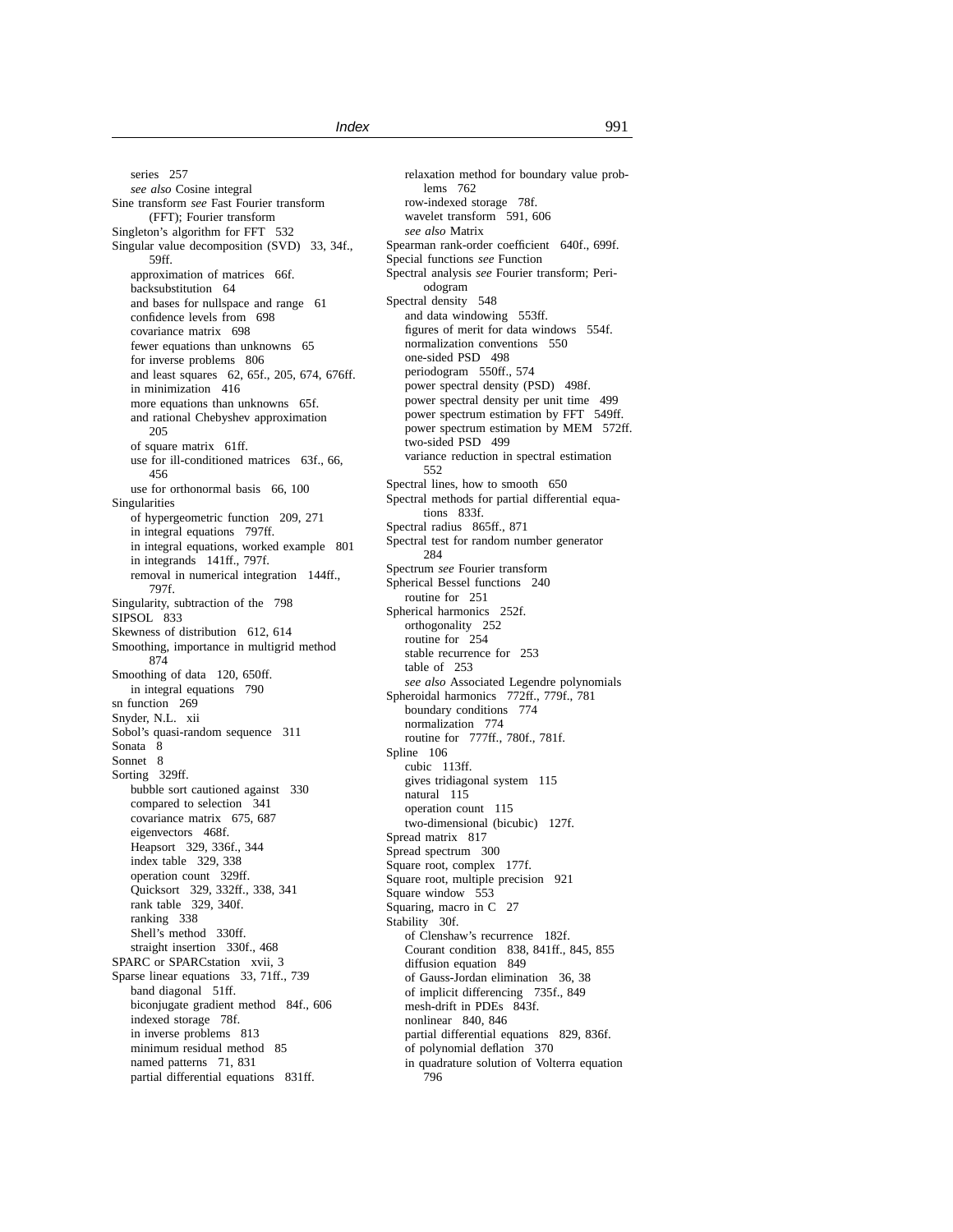series 257 *see also* Cosine integral Sine transform *see* Fast Fourier transform (FFT); Fourier transform Singleton's algorithm for FFT 532 Singular value decomposition (SVD) 33, 34f., 59ff. approximation of matrices 66f. backsubstitution 64 and bases for nullspace and range 61 confidence levels from 698 covariance matrix 698 fewer equations than unknowns 65 for inverse problems 806 and least squares 62, 65f., 205, 674, 676ff. in minimization 416 more equations than unknowns 65f. and rational Chebyshev approximation 205 of square matrix 61ff. use for ill-conditioned matrices 63f., 66, 456 use for orthonormal basis 66, 100 Singularities of hypergeometric function 209, 271 in integral equations 797ff. in integral equations, worked example 801 in integrands 141ff., 797f. removal in numerical integration 144ff., 797f. Singularity, subtraction of the 798 SIPSOL 833 Skewness of distribution 612, 614 Smoothing, importance in multigrid method 874 Smoothing of data 120, 650ff. in integral equations 790 sn function 269 Snyder, N.L. xii Sobol's quasi-random sequence 311 Sonata 8 Sonnet<sub>8</sub> Sorting 329ff. bubble sort cautioned against 330 compared to selection 341 covariance matrix 675, 687 eigenvectors 468f. Heapsort 329, 336f., 344 index table 329, 338 operation count 329ff. Quicksort 329, 332ff., 338, 341 rank table 329, 340f. ranking 338 Shell's method 330ff. straight insertion 330f., 468 SPARC or SPARCstation xvii, 3 Sparse linear equations 33, 71ff., 739 band diagonal 51ff. biconjugate gradient method 84f., 606 indexed storage 78f. in inverse problems 813 minimum residual method 85 named patterns 71, 831 partial differential equations 831ff.

relaxation method for boundary value problems 762 row-indexed storage 78f. wavelet transform 591, 606 *see also* Matrix Spearman rank-order coefficient 640f., 699f. Special functions *see* Function Spectral analysis *see* Fourier transform; Periodogram Spectral density 548 and data windowing 553ff. figures of merit for data windows 554f. normalization conventions 550 one-sided PSD 498 periodogram 550ff., 574 power spectral density (PSD) 498f. power spectral density per unit time 499 power spectrum estimation by FFT 549ff. power spectrum estimation by MEM 572ff. two-sided PSD 499 variance reduction in spectral estimation 552 Spectral lines, how to smooth 650 Spectral methods for partial differential equations 833f. Spectral radius 865ff., 871 Spectral test for random number generator 284 Spectrum *see* Fourier transform Spherical Bessel functions 240 routine for 251 Spherical harmonics 252f. orthogonality 252 routine for 254 stable recurrence for 253 table of 253 *see also* Associated Legendre polynomials Spheroidal harmonics 772ff., 779f., 781 boundary conditions 774 normalization 774 routine for 777ff., 780f., 781f. Spline 106 cubic 113ff. gives tridiagonal system 115 natural 115 operation count 115 two-dimensional (bicubic) 127f. Spread matrix 817 Spread spectrum 300 Square root, complex 177f. Square root, multiple precision 921 Square window 553 Squaring, macro in C 27 Stability 30f. of Clenshaw's recurrence 182f. Courant condition 838, 841ff., 845, 855 diffusion equation 849 of Gauss-Jordan elimination 36, 38 of implicit differencing 735f., 849 mesh-drift in PDEs 843f. nonlinear 840, 846 partial differential equations 829, 836f. of polynomial deflation 370 in quadrature solution of Volterra equation 796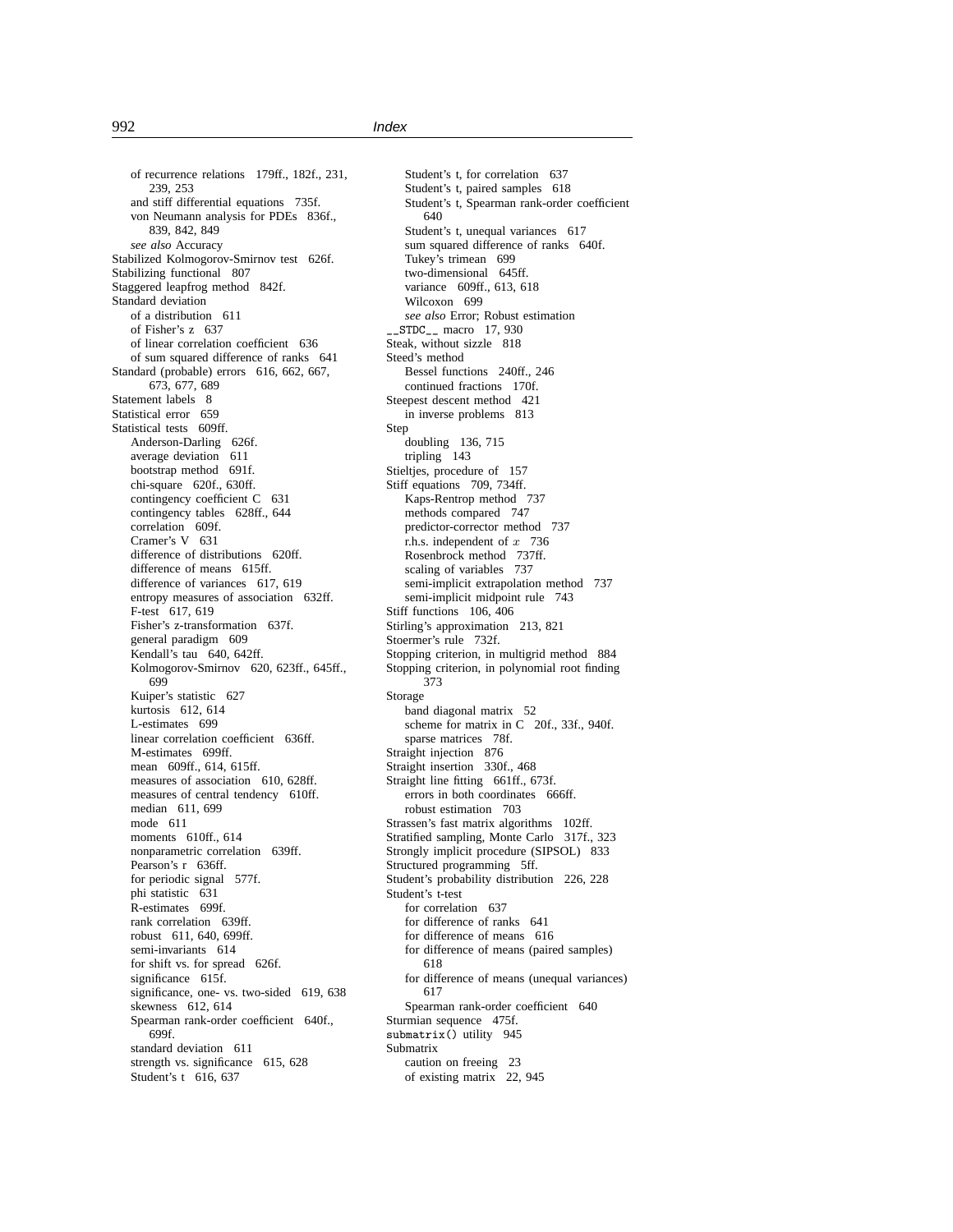of recurrence relations 179ff., 182f., 231, 239, 253 and stiff differential equations 735f. von Neumann analysis for PDEs 836f., 839, 842, 849 *see also* Accuracy Stabilized Kolmogorov-Smirnov test 626f. Stabilizing functional 807 Staggered leapfrog method 842f. Standard deviation of a distribution 611 of Fisher's z 637 of linear correlation coefficient 636 of sum squared difference of ranks 641 Standard (probable) errors 616, 662, 667, 673, 677, 689 Statement labels 8 Statistical error 659 Statistical tests 609ff. Anderson-Darling 626f. average deviation 611 bootstrap method 691f. chi-square 620f., 630ff. contingency coefficient C 631 contingency tables 628ff., 644 correlation 609f. Cramer's V 631 difference of distributions 620ff. difference of means 615ff. difference of variances 617, 619 entropy measures of association 632ff. F-test 617, 619 Fisher's z-transformation 637f. general paradigm 609 Kendall's tau 640, 642ff. Kolmogorov-Smirnov 620, 623ff., 645ff., 699 Kuiper's statistic 627 kurtosis 612, 614 L-estimates 699 linear correlation coefficient 636ff. M-estimates 699ff. mean 609ff., 614, 615ff. measures of association 610, 628ff. measures of central tendency 610ff. median 611, 699 mode 611 moments 610ff., 614 nonparametric correlation 639ff. Pearson's r 636ff. for periodic signal 577f. phi statistic 631 R-estimates 699f. rank correlation 639ff. robust 611, 640, 699ff. semi-invariants 614 for shift vs. for spread 626f. significance 615f. significance, one- vs. two-sided 619, 638 skewness 612, 614 Spearman rank-order coefficient 640f., 699f. standard deviation 611 strength vs. significance 615, 628 Student's t 616, 637

Student's t, for correlation 637 Student's t, paired samples 618 Student's t, Spearman rank-order coefficient 640 Student's t, unequal variances 617 sum squared difference of ranks 640f. Tukey's trimean 699 two-dimensional 645ff. variance 609ff., 613, 618 Wilcoxon 699 *see also* Error; Robust estimation \_\_STDC\_\_ macro 17, 930 Steak, without sizzle 818 Steed's method Bessel functions 240ff., 246 continued fractions 170f. Steepest descent method 421 in inverse problems 813 Step doubling 136, 715 tripling 143 Stieltjes, procedure of 157 Stiff equations 709, 734ff. Kaps-Rentrop method 737 methods compared 747 predictor-corrector method 737 r.h.s. independent of  $x$  736 Rosenbrock method 737ff. scaling of variables 737 semi-implicit extrapolation method 737 semi-implicit midpoint rule 743 Stiff functions 106, 406 Stirling's approximation 213, 821 Stoermer's rule 732f. Stopping criterion, in multigrid method 884 Stopping criterion, in polynomial root finding 373 Storage band diagonal matrix 52 scheme for matrix in C 20f., 33f., 940f. sparse matrices 78f. Straight injection 876 Straight insertion 330f., 468 Straight line fitting 661ff., 673f. errors in both coordinates 666ff. robust estimation 703 Strassen's fast matrix algorithms 102ff. Stratified sampling, Monte Carlo 317f., 323 Strongly implicit procedure (SIPSOL) 833 Structured programming 5ff. Student's probability distribution 226, 228 Student's t-test for correlation 637 for difference of ranks 641 for difference of means 616 for difference of means (paired samples) 618 for difference of means (unequal variances) 617 Spearman rank-order coefficient 640 Sturmian sequence 475f. submatrix() utility 945 Submatrix caution on freeing 23 of existing matrix 22, 945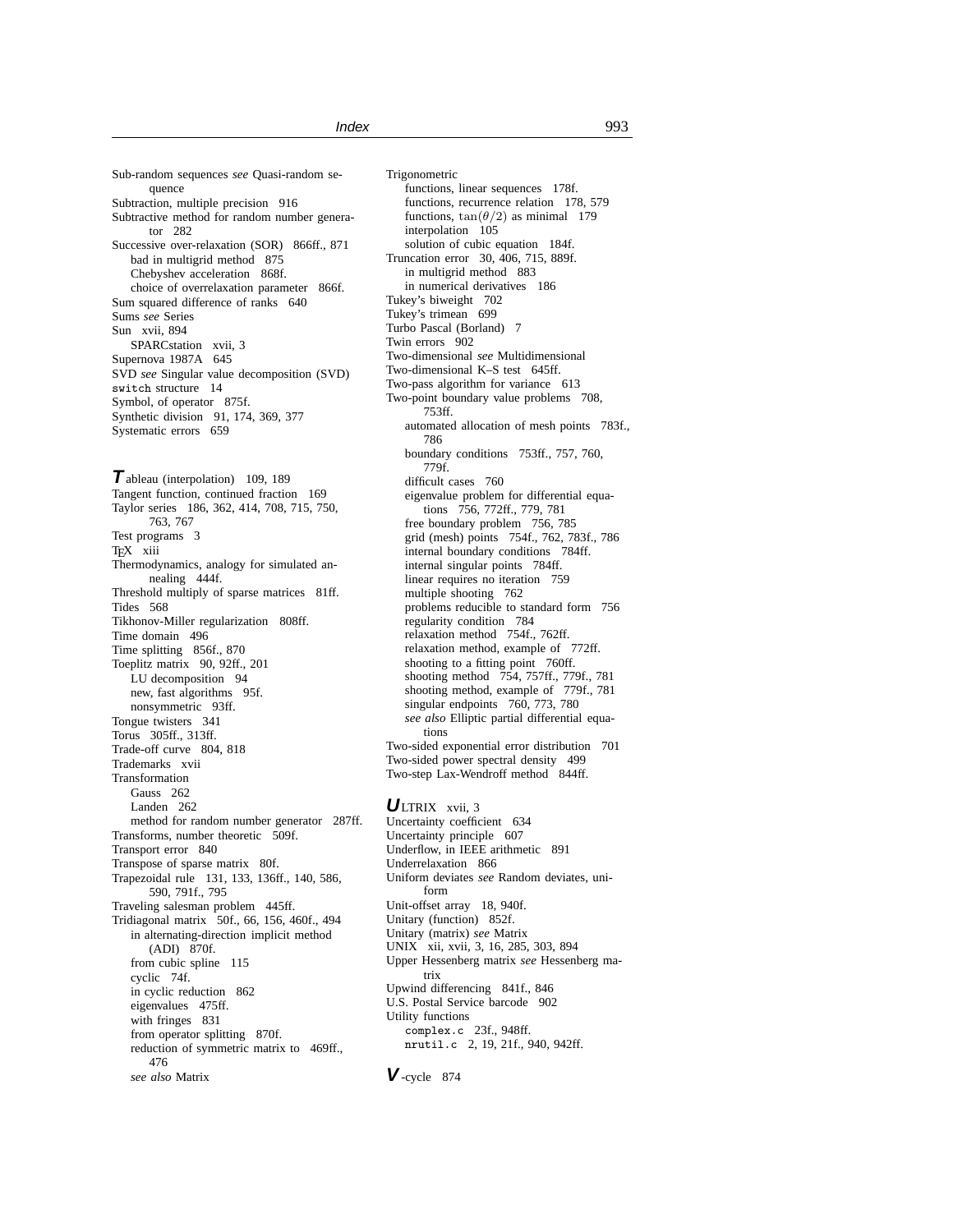Sub-random sequences *see* Quasi-random sequence Subtraction, multiple precision 916 Subtractive method for random number generator 282 Successive over-relaxation (SOR) 866ff., 871 bad in multigrid method 875 Chebyshev acceleration 868f. choice of overrelaxation parameter 866f. Sum squared difference of ranks 640 Sums *see* Series Sun xvii, 894 SPARCstation xvii, 3 Supernova 1987A 645 SVD *see* Singular value decomposition (SVD) switch structure 14 Symbol, of operator 875f. Synthetic division 91, 174, 369, 377 Systematic errors 659

**T**ableau (interpolation) 109, 189 Tangent function, continued fraction 169 Taylor series 186, 362, 414, 708, 715, 750, 763, 767 Test programs 3 TEX xiii Thermodynamics, analogy for simulated annealing 444f. Threshold multiply of sparse matrices 81ff. Tides 568 Tikhonov-Miller regularization 808ff. Time domain 496 Time splitting 856f., 870 Toeplitz matrix 90, 92ff., 201 LU decomposition 94 new, fast algorithms 95f. nonsymmetric 93ff. Tongue twisters 341 Torus 305ff., 313ff. Trade-off curve 804, 818 Trademarks xvii Transformation Gauss 262 Landen 262 method for random number generator 287ff. Transforms, number theoretic 509f. Transport error 840 Transpose of sparse matrix 80f. Trapezoidal rule 131, 133, 136ff., 140, 586, 590, 791f., 795 Traveling salesman problem 445ff. Tridiagonal matrix 50f., 66, 156, 460f., 494 in alternating-direction implicit method (ADI) 870f. from cubic spline 115 cyclic 74f. in cyclic reduction 862 eigenvalues 475ff. with fringes 831 from operator splitting 870f. reduction of symmetric matrix to 469ff., 476 *see also* Matrix

Trigonometric functions, linear sequences 178f. functions, recurrence relation 178, 579 functions,  $tan(\theta/2)$  as minimal 179 interpolation 105 solution of cubic equation 184f. Truncation error 30, 406, 715, 889f. in multigrid method 883 in numerical derivatives 186 Tukey's biweight 702 Tukey's trimean 699 Turbo Pascal (Borland) 7 Twin errors 902 Two-dimensional *see* Multidimensional Two-dimensional K–S test 645ff. Two-pass algorithm for variance 613 Two-point boundary value problems 708, 753ff. automated allocation of mesh points 783f., 786 boundary conditions 753ff., 757, 760, 779f. difficult cases 760 eigenvalue problem for differential equations 756, 772ff., 779, 781 free boundary problem 756, 785 grid (mesh) points 754f., 762, 783f., 786 internal boundary conditions 784ff. internal singular points 784ff. linear requires no iteration 759 multiple shooting 762 problems reducible to standard form 756 regularity condition 784 relaxation method 754f., 762ff. relaxation method, example of 772ff. shooting to a fitting point 760ff. shooting method 754, 757ff., 779f., 781 shooting method, example of 779f., 781 singular endpoints 760, 773, 780 *see also* Elliptic partial differential equations Two-sided exponential error distribution 701 Two-sided power spectral density 499 Two-step Lax-Wendroff method 844ff.

# **U**LTRIX xvii, 3

Uncertainty coefficient 634 Uncertainty principle 607 Underflow, in IEEE arithmetic 891 Underrelaxation 866 Uniform deviates *see* Random deviates, uniform Unit-offset array 18, 940f. Unitary (function) 852f. Unitary (matrix) *see* Matrix UNIX xii, xvii, 3, 16, 285, 303, 894 Upper Hessenberg matrix *see* Hessenberg matrix Upwind differencing 841f., 846 U.S. Postal Service barcode 902 Utility functions complex.c 23f., 948ff. nrutil.c 2, 19, 21f., 940, 942ff.

**V**-cycle 874